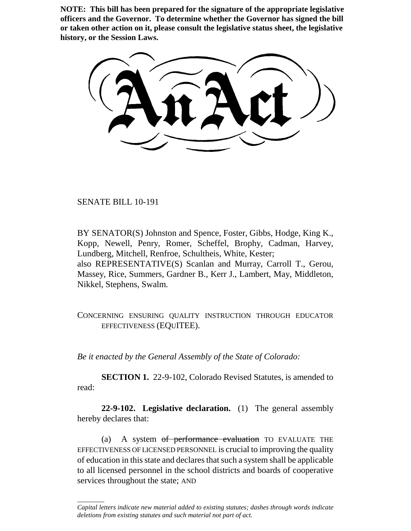**NOTE: This bill has been prepared for the signature of the appropriate legislative officers and the Governor. To determine whether the Governor has signed the bill or taken other action on it, please consult the legislative status sheet, the legislative history, or the Session Laws.**

SENATE BILL 10-191

\_\_\_\_\_\_\_\_

BY SENATOR(S) Johnston and Spence, Foster, Gibbs, Hodge, King K., Kopp, Newell, Penry, Romer, Scheffel, Brophy, Cadman, Harvey, Lundberg, Mitchell, Renfroe, Schultheis, White, Kester; also REPRESENTATIVE(S) Scanlan and Murray, Carroll T., Gerou, Massey, Rice, Summers, Gardner B., Kerr J., Lambert, May, Middleton, Nikkel, Stephens, Swalm.

CONCERNING ENSURING QUALITY INSTRUCTION THROUGH EDUCATOR EFFECTIVENESS (EQUITEE).

*Be it enacted by the General Assembly of the State of Colorado:*

**SECTION 1.** 22-9-102, Colorado Revised Statutes, is amended to read:

**22-9-102. Legislative declaration.** (1) The general assembly hereby declares that:

(a) A system of performance evaluation TO EVALUATE THE EFFECTIVENESS OF LICENSED PERSONNEL is crucial to improving the quality of education in this state and declares that such a system shall be applicable to all licensed personnel in the school districts and boards of cooperative services throughout the state; AND

*Capital letters indicate new material added to existing statutes; dashes through words indicate deletions from existing statutes and such material not part of act.*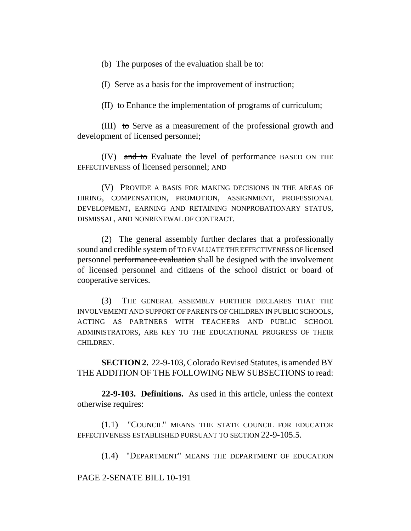(b) The purposes of the evaluation shall be to:

(I) Serve as a basis for the improvement of instruction;

(II) to Enhance the implementation of programs of curriculum;

(III) to Serve as a measurement of the professional growth and development of licensed personnel;

(IV) and to Evaluate the level of performance BASED ON THE EFFECTIVENESS of licensed personnel; AND

(V) PROVIDE A BASIS FOR MAKING DECISIONS IN THE AREAS OF HIRING, COMPENSATION, PROMOTION, ASSIGNMENT, PROFESSIONAL DEVELOPMENT, EARNING AND RETAINING NONPROBATIONARY STATUS, DISMISSAL, AND NONRENEWAL OF CONTRACT.

(2) The general assembly further declares that a professionally sound and credible system of TO EVALUATE THE EFFECTIVENESS OF licensed personnel performance evaluation shall be designed with the involvement of licensed personnel and citizens of the school district or board of cooperative services.

(3) THE GENERAL ASSEMBLY FURTHER DECLARES THAT THE INVOLVEMENT AND SUPPORT OF PARENTS OF CHILDREN IN PUBLIC SCHOOLS, ACTING AS PARTNERS WITH TEACHERS AND PUBLIC SCHOOL ADMINISTRATORS, ARE KEY TO THE EDUCATIONAL PROGRESS OF THEIR CHILDREN.

**SECTION 2.** 22-9-103, Colorado Revised Statutes, is amended BY THE ADDITION OF THE FOLLOWING NEW SUBSECTIONS to read:

**22-9-103. Definitions.** As used in this article, unless the context otherwise requires:

(1.1) "COUNCIL" MEANS THE STATE COUNCIL FOR EDUCATOR EFFECTIVENESS ESTABLISHED PURSUANT TO SECTION 22-9-105.5.

(1.4) "DEPARTMENT" MEANS THE DEPARTMENT OF EDUCATION

PAGE 2-SENATE BILL 10-191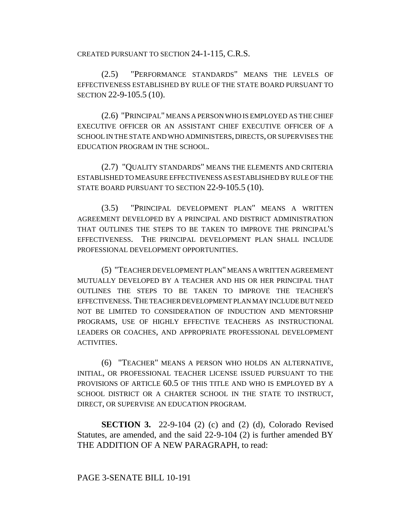CREATED PURSUANT TO SECTION 24-1-115, C.R.S.

(2.5) "PERFORMANCE STANDARDS" MEANS THE LEVELS OF EFFECTIVENESS ESTABLISHED BY RULE OF THE STATE BOARD PURSUANT TO SECTION 22-9-105.5 (10).

(2.6) "PRINCIPAL" MEANS A PERSON WHO IS EMPLOYED AS THE CHIEF EXECUTIVE OFFICER OR AN ASSISTANT CHIEF EXECUTIVE OFFICER OF A SCHOOL IN THE STATE AND WHO ADMINISTERS, DIRECTS, OR SUPERVISES THE EDUCATION PROGRAM IN THE SCHOOL.

(2.7) "QUALITY STANDARDS" MEANS THE ELEMENTS AND CRITERIA ESTABLISHED TO MEASURE EFFECTIVENESS AS ESTABLISHED BY RULE OF THE STATE BOARD PURSUANT TO SECTION 22-9-105.5 (10).

(3.5) "PRINCIPAL DEVELOPMENT PLAN" MEANS A WRITTEN AGREEMENT DEVELOPED BY A PRINCIPAL AND DISTRICT ADMINISTRATION THAT OUTLINES THE STEPS TO BE TAKEN TO IMPROVE THE PRINCIPAL'S EFFECTIVENESS. THE PRINCIPAL DEVELOPMENT PLAN SHALL INCLUDE PROFESSIONAL DEVELOPMENT OPPORTUNITIES.

(5) "TEACHER DEVELOPMENT PLAN" MEANS A WRITTEN AGREEMENT MUTUALLY DEVELOPED BY A TEACHER AND HIS OR HER PRINCIPAL THAT OUTLINES THE STEPS TO BE TAKEN TO IMPROVE THE TEACHER'S EFFECTIVENESS. THE TEACHER DEVELOPMENT PLAN MAY INCLUDE BUT NEED NOT BE LIMITED TO CONSIDERATION OF INDUCTION AND MENTORSHIP PROGRAMS, USE OF HIGHLY EFFECTIVE TEACHERS AS INSTRUCTIONAL LEADERS OR COACHES, AND APPROPRIATE PROFESSIONAL DEVELOPMENT ACTIVITIES.

(6) "TEACHER" MEANS A PERSON WHO HOLDS AN ALTERNATIVE, INITIAL, OR PROFESSIONAL TEACHER LICENSE ISSUED PURSUANT TO THE PROVISIONS OF ARTICLE 60.5 OF THIS TITLE AND WHO IS EMPLOYED BY A SCHOOL DISTRICT OR A CHARTER SCHOOL IN THE STATE TO INSTRUCT, DIRECT, OR SUPERVISE AN EDUCATION PROGRAM.

**SECTION 3.** 22-9-104 (2) (c) and (2) (d), Colorado Revised Statutes, are amended, and the said 22-9-104 (2) is further amended BY THE ADDITION OF A NEW PARAGRAPH, to read:

## PAGE 3-SENATE BILL 10-191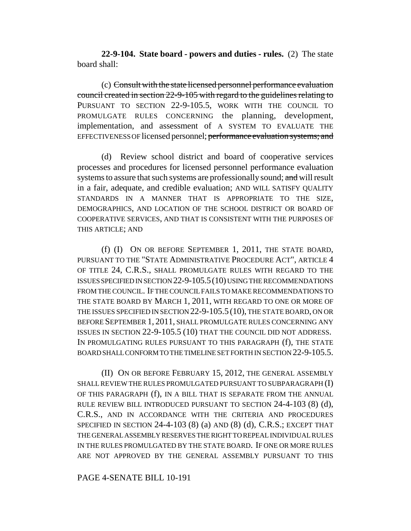**22-9-104. State board - powers and duties - rules.** (2) The state board shall:

(c) Consult with the state licensed personnel performance evaluation council created in section 22-9-105 with regard to the guidelines relating to PURSUANT TO SECTION 22-9-105.5, WORK WITH THE COUNCIL TO PROMULGATE RULES CONCERNING the planning, development, implementation, and assessment of A SYSTEM TO EVALUATE THE EFFECTIVENESS OF licensed personnel; performance evaluation systems; and

(d) Review school district and board of cooperative services processes and procedures for licensed personnel performance evaluation systems to assure that such systems are professionally sound; and will result in a fair, adequate, and credible evaluation; AND WILL SATISFY QUALITY STANDARDS IN A MANNER THAT IS APPROPRIATE TO THE SIZE, DEMOGRAPHICS, AND LOCATION OF THE SCHOOL DISTRICT OR BOARD OF COOPERATIVE SERVICES, AND THAT IS CONSISTENT WITH THE PURPOSES OF THIS ARTICLE; AND

(f) (I) ON OR BEFORE SEPTEMBER 1, 2011, THE STATE BOARD, PURSUANT TO THE "STATE ADMINISTRATIVE PROCEDURE ACT", ARTICLE 4 OF TITLE 24, C.R.S., SHALL PROMULGATE RULES WITH REGARD TO THE ISSUES SPECIFIED IN SECTION 22-9-105.5(10) USING THE RECOMMENDATIONS FROM THE COUNCIL. IF THE COUNCIL FAILS TO MAKE RECOMMENDATIONS TO THE STATE BOARD BY MARCH 1, 2011, WITH REGARD TO ONE OR MORE OF THE ISSUES SPECIFIED IN SECTION 22-9-105.5 (10), THE STATE BOARD, ON OR BEFORE SEPTEMBER 1, 2011, SHALL PROMULGATE RULES CONCERNING ANY ISSUES IN SECTION 22-9-105.5 (10) THAT THE COUNCIL DID NOT ADDRESS. IN PROMULGATING RULES PURSUANT TO THIS PARAGRAPH (f), THE STATE BOARD SHALL CONFORM TO THE TIMELINE SET FORTH IN SECTION 22-9-105.5.

(II) ON OR BEFORE FEBRUARY 15, 2012, THE GENERAL ASSEMBLY SHALL REVIEW THE RULES PROMULGATED PURSUANT TO SUBPARAGRAPH (I) OF THIS PARAGRAPH (f), IN A BILL THAT IS SEPARATE FROM THE ANNUAL RULE REVIEW BILL INTRODUCED PURSUANT TO SECTION 24-4-103 (8) (d), C.R.S., AND IN ACCORDANCE WITH THE CRITERIA AND PROCEDURES SPECIFIED IN SECTION 24-4-103 (8) (a) AND (8) (d), C.R.S.; EXCEPT THAT THE GENERAL ASSEMBLY RESERVES THE RIGHT TO REPEAL INDIVIDUAL RULES IN THE RULES PROMULGATED BY THE STATE BOARD. IF ONE OR MORE RULES ARE NOT APPROVED BY THE GENERAL ASSEMBLY PURSUANT TO THIS

# PAGE 4-SENATE BILL 10-191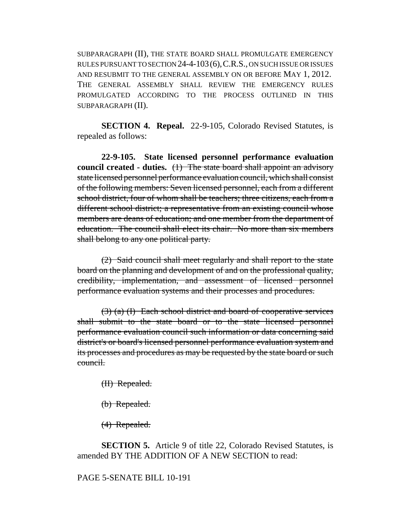SUBPARAGRAPH (II), THE STATE BOARD SHALL PROMULGATE EMERGENCY RULES PURSUANT TO SECTION 24-4-103(6),C.R.S., ON SUCH ISSUE OR ISSUES AND RESUBMIT TO THE GENERAL ASSEMBLY ON OR BEFORE MAY 1, 2012. THE GENERAL ASSEMBLY SHALL REVIEW THE EMERGENCY RULES PROMULGATED ACCORDING TO THE PROCESS OUTLINED IN THIS SUBPARAGRAPH (II).

**SECTION 4. Repeal.** 22-9-105, Colorado Revised Statutes, is repealed as follows:

**22-9-105. State licensed personnel performance evaluation council created - duties.** (1) The state board shall appoint an advisory state licensed personnel performance evaluation council, which shall consist of the following members: Seven licensed personnel, each from a different school district, four of whom shall be teachers; three citizens, each from a different school district; a representative from an existing council whose members are deans of education; and one member from the department of education. The council shall elect its chair. No more than six members shall belong to any one political party.

(2) Said council shall meet regularly and shall report to the state board on the planning and development of and on the professional quality, credibility, implementation, and assessment of licensed personnel performance evaluation systems and their processes and procedures.

(3) (a) (I) Each school district and board of cooperative services shall submit to the state board or to the state licensed personnel performance evaluation council such information or data concerning said district's or board's licensed personnel performance evaluation system and its processes and procedures as may be requested by the state board or such council.

(II) Repealed.

(b) Repealed.

(4) Repealed.

**SECTION 5.** Article 9 of title 22, Colorado Revised Statutes, is amended BY THE ADDITION OF A NEW SECTION to read:

PAGE 5-SENATE BILL 10-191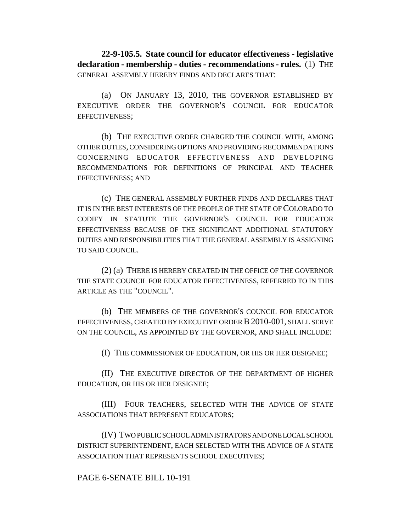**22-9-105.5. State council for educator effectiveness - legislative declaration - membership - duties - recommendations - rules.** (1) THE GENERAL ASSEMBLY HEREBY FINDS AND DECLARES THAT:

(a) ON JANUARY 13, 2010, THE GOVERNOR ESTABLISHED BY EXECUTIVE ORDER THE GOVERNOR'S COUNCIL FOR EDUCATOR EFFECTIVENESS;

(b) THE EXECUTIVE ORDER CHARGED THE COUNCIL WITH, AMONG OTHER DUTIES, CONSIDERING OPTIONS AND PROVIDING RECOMMENDATIONS CONCERNING EDUCATOR EFFECTIVENESS AND DEVELOPING RECOMMENDATIONS FOR DEFINITIONS OF PRINCIPAL AND TEACHER EFFECTIVENESS; AND

(c) THE GENERAL ASSEMBLY FURTHER FINDS AND DECLARES THAT IT IS IN THE BEST INTERESTS OF THE PEOPLE OF THE STATE OF COLORADO TO CODIFY IN STATUTE THE GOVERNOR'S COUNCIL FOR EDUCATOR EFFECTIVENESS BECAUSE OF THE SIGNIFICANT ADDITIONAL STATUTORY DUTIES AND RESPONSIBILITIES THAT THE GENERAL ASSEMBLY IS ASSIGNING TO SAID COUNCIL.

(2) (a) THERE IS HEREBY CREATED IN THE OFFICE OF THE GOVERNOR THE STATE COUNCIL FOR EDUCATOR EFFECTIVENESS, REFERRED TO IN THIS ARTICLE AS THE "COUNCIL".

(b) THE MEMBERS OF THE GOVERNOR'S COUNCIL FOR EDUCATOR EFFECTIVENESS, CREATED BY EXECUTIVE ORDER B2010-001, SHALL SERVE ON THE COUNCIL, AS APPOINTED BY THE GOVERNOR, AND SHALL INCLUDE:

(I) THE COMMISSIONER OF EDUCATION, OR HIS OR HER DESIGNEE;

(II) THE EXECUTIVE DIRECTOR OF THE DEPARTMENT OF HIGHER EDUCATION, OR HIS OR HER DESIGNEE;

(III) FOUR TEACHERS, SELECTED WITH THE ADVICE OF STATE ASSOCIATIONS THAT REPRESENT EDUCATORS;

(IV) TWO PUBLIC SCHOOL ADMINISTRATORS AND ONE LOCAL SCHOOL DISTRICT SUPERINTENDENT, EACH SELECTED WITH THE ADVICE OF A STATE ASSOCIATION THAT REPRESENTS SCHOOL EXECUTIVES;

# PAGE 6-SENATE BILL 10-191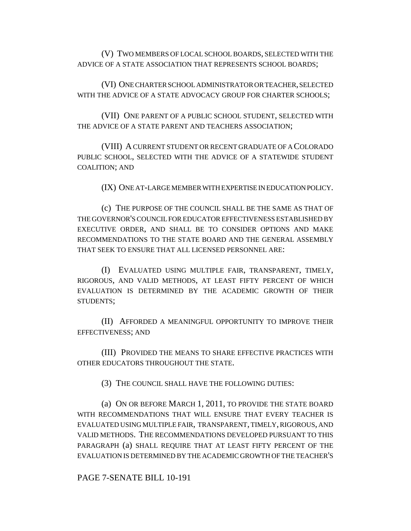(V) TWO MEMBERS OF LOCAL SCHOOL BOARDS, SELECTED WITH THE ADVICE OF A STATE ASSOCIATION THAT REPRESENTS SCHOOL BOARDS;

(VI) ONE CHARTER SCHOOL ADMINISTRATOR OR TEACHER, SELECTED WITH THE ADVICE OF A STATE ADVOCACY GROUP FOR CHARTER SCHOOLS;

(VII) ONE PARENT OF A PUBLIC SCHOOL STUDENT, SELECTED WITH THE ADVICE OF A STATE PARENT AND TEACHERS ASSOCIATION;

(VIII) A CURRENT STUDENT OR RECENT GRADUATE OF A COLORADO PUBLIC SCHOOL, SELECTED WITH THE ADVICE OF A STATEWIDE STUDENT COALITION; AND

(IX) ONE AT-LARGE MEMBER WITH EXPERTISE IN EDUCATION POLICY.

(c) THE PURPOSE OF THE COUNCIL SHALL BE THE SAME AS THAT OF THE GOVERNOR'S COUNCIL FOR EDUCATOR EFFECTIVENESS ESTABLISHED BY EXECUTIVE ORDER, AND SHALL BE TO CONSIDER OPTIONS AND MAKE RECOMMENDATIONS TO THE STATE BOARD AND THE GENERAL ASSEMBLY THAT SEEK TO ENSURE THAT ALL LICENSED PERSONNEL ARE:

(I) EVALUATED USING MULTIPLE FAIR, TRANSPARENT, TIMELY, RIGOROUS, AND VALID METHODS, AT LEAST FIFTY PERCENT OF WHICH EVALUATION IS DETERMINED BY THE ACADEMIC GROWTH OF THEIR STUDENTS;

(II) AFFORDED A MEANINGFUL OPPORTUNITY TO IMPROVE THEIR EFFECTIVENESS; AND

(III) PROVIDED THE MEANS TO SHARE EFFECTIVE PRACTICES WITH OTHER EDUCATORS THROUGHOUT THE STATE.

(3) THE COUNCIL SHALL HAVE THE FOLLOWING DUTIES:

(a) ON OR BEFORE MARCH 1, 2011, TO PROVIDE THE STATE BOARD WITH RECOMMENDATIONS THAT WILL ENSURE THAT EVERY TEACHER IS EVALUATED USING MULTIPLE FAIR, TRANSPARENT, TIMELY, RIGOROUS, AND VALID METHODS. THE RECOMMENDATIONS DEVELOPED PURSUANT TO THIS PARAGRAPH (a) SHALL REQUIRE THAT AT LEAST FIFTY PERCENT OF THE EVALUATION IS DETERMINED BY THE ACADEMIC GROWTH OF THE TEACHER'S

PAGE 7-SENATE BILL 10-191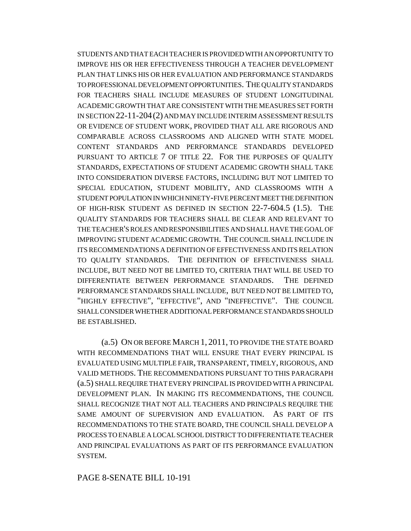STUDENTS AND THAT EACH TEACHER IS PROVIDED WITH AN OPPORTUNITY TO IMPROVE HIS OR HER EFFECTIVENESS THROUGH A TEACHER DEVELOPMENT PLAN THAT LINKS HIS OR HER EVALUATION AND PERFORMANCE STANDARDS TO PROFESSIONAL DEVELOPMENT OPPORTUNITIES. THE QUALITY STANDARDS FOR TEACHERS SHALL INCLUDE MEASURES OF STUDENT LONGITUDINAL ACADEMIC GROWTH THAT ARE CONSISTENT WITH THE MEASURES SET FORTH IN SECTION 22-11-204(2) AND MAY INCLUDE INTERIM ASSESSMENT RESULTS OR EVIDENCE OF STUDENT WORK, PROVIDED THAT ALL ARE RIGOROUS AND COMPARABLE ACROSS CLASSROOMS AND ALIGNED WITH STATE MODEL CONTENT STANDARDS AND PERFORMANCE STANDARDS DEVELOPED PURSUANT TO ARTICLE 7 OF TITLE 22. FOR THE PURPOSES OF QUALITY STANDARDS, EXPECTATIONS OF STUDENT ACADEMIC GROWTH SHALL TAKE INTO CONSIDERATION DIVERSE FACTORS, INCLUDING BUT NOT LIMITED TO SPECIAL EDUCATION, STUDENT MOBILITY, AND CLASSROOMS WITH A STUDENT POPULATION IN WHICH NINETY-FIVE PERCENT MEET THE DEFINITION OF HIGH-RISK STUDENT AS DEFINED IN SECTION 22-7-604.5 (1.5). THE QUALITY STANDARDS FOR TEACHERS SHALL BE CLEAR AND RELEVANT TO THE TEACHER'S ROLES AND RESPONSIBILITIES AND SHALL HAVE THE GOAL OF IMPROVING STUDENT ACADEMIC GROWTH. THE COUNCIL SHALL INCLUDE IN ITS RECOMMENDATIONS A DEFINITION OF EFFECTIVENESS AND ITS RELATION TO QUALITY STANDARDS. THE DEFINITION OF EFFECTIVENESS SHALL INCLUDE, BUT NEED NOT BE LIMITED TO, CRITERIA THAT WILL BE USED TO DIFFERENTIATE BETWEEN PERFORMANCE STANDARDS. THE DEFINED PERFORMANCE STANDARDS SHALL INCLUDE, BUT NEED NOT BE LIMITED TO, "HIGHLY EFFECTIVE", "EFFECTIVE", AND "INEFFECTIVE". THE COUNCIL SHALL CONSIDER WHETHER ADDITIONAL PERFORMANCE STANDARDS SHOULD BE ESTABLISHED.

(a.5) ON OR BEFORE MARCH 1, 2011, TO PROVIDE THE STATE BOARD WITH RECOMMENDATIONS THAT WILL ENSURE THAT EVERY PRINCIPAL IS EVALUATED USING MULTIPLE FAIR, TRANSPARENT, TIMELY, RIGOROUS, AND VALID METHODS. THE RECOMMENDATIONS PURSUANT TO THIS PARAGRAPH (a.5) SHALL REQUIRE THAT EVERY PRINCIPAL IS PROVIDED WITH A PRINCIPAL DEVELOPMENT PLAN. IN MAKING ITS RECOMMENDATIONS, THE COUNCIL SHALL RECOGNIZE THAT NOT ALL TEACHERS AND PRINCIPALS REQUIRE THE SAME AMOUNT OF SUPERVISION AND EVALUATION. AS PART OF ITS RECOMMENDATIONS TO THE STATE BOARD, THE COUNCIL SHALL DEVELOP A PROCESS TO ENABLE A LOCAL SCHOOL DISTRICT TO DIFFERENTIATE TEACHER AND PRINCIPAL EVALUATIONS AS PART OF ITS PERFORMANCE EVALUATION SYSTEM.

## PAGE 8-SENATE BILL 10-191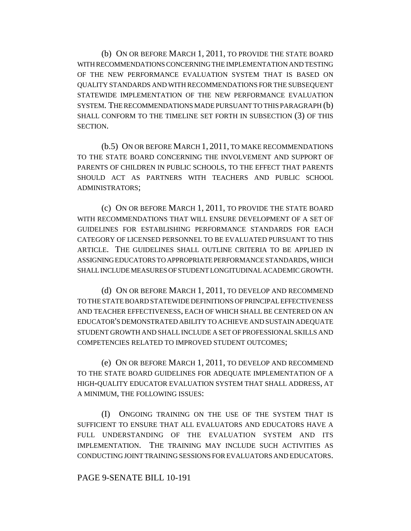(b) ON OR BEFORE MARCH 1, 2011, TO PROVIDE THE STATE BOARD WITH RECOMMENDATIONS CONCERNING THE IMPLEMENTATION AND TESTING OF THE NEW PERFORMANCE EVALUATION SYSTEM THAT IS BASED ON QUALITY STANDARDS AND WITH RECOMMENDATIONS FOR THE SUBSEQUENT STATEWIDE IMPLEMENTATION OF THE NEW PERFORMANCE EVALUATION SYSTEM. THE RECOMMENDATIONS MADE PURSUANT TO THIS PARAGRAPH (b) SHALL CONFORM TO THE TIMELINE SET FORTH IN SUBSECTION (3) OF THIS SECTION.

(b.5) ON OR BEFORE MARCH 1, 2011, TO MAKE RECOMMENDATIONS TO THE STATE BOARD CONCERNING THE INVOLVEMENT AND SUPPORT OF PARENTS OF CHILDREN IN PUBLIC SCHOOLS, TO THE EFFECT THAT PARENTS SHOULD ACT AS PARTNERS WITH TEACHERS AND PUBLIC SCHOOL ADMINISTRATORS;

(c) ON OR BEFORE MARCH 1, 2011, TO PROVIDE THE STATE BOARD WITH RECOMMENDATIONS THAT WILL ENSURE DEVELOPMENT OF A SET OF GUIDELINES FOR ESTABLISHING PERFORMANCE STANDARDS FOR EACH CATEGORY OF LICENSED PERSONNEL TO BE EVALUATED PURSUANT TO THIS ARTICLE. THE GUIDELINES SHALL OUTLINE CRITERIA TO BE APPLIED IN ASSIGNING EDUCATORS TO APPROPRIATE PERFORMANCE STANDARDS, WHICH SHALL INCLUDE MEASURES OF STUDENT LONGITUDINAL ACADEMIC GROWTH.

(d) ON OR BEFORE MARCH 1, 2011, TO DEVELOP AND RECOMMEND TO THE STATE BOARD STATEWIDE DEFINITIONS OF PRINCIPAL EFFECTIVENESS AND TEACHER EFFECTIVENESS, EACH OF WHICH SHALL BE CENTERED ON AN EDUCATOR'S DEMONSTRATED ABILITY TO ACHIEVE AND SUSTAIN ADEQUATE STUDENT GROWTH AND SHALL INCLUDE A SET OF PROFESSIONAL SKILLS AND COMPETENCIES RELATED TO IMPROVED STUDENT OUTCOMES;

(e) ON OR BEFORE MARCH 1, 2011, TO DEVELOP AND RECOMMEND TO THE STATE BOARD GUIDELINES FOR ADEQUATE IMPLEMENTATION OF A HIGH-QUALITY EDUCATOR EVALUATION SYSTEM THAT SHALL ADDRESS, AT A MINIMUM, THE FOLLOWING ISSUES:

(I) ONGOING TRAINING ON THE USE OF THE SYSTEM THAT IS SUFFICIENT TO ENSURE THAT ALL EVALUATORS AND EDUCATORS HAVE A FULL UNDERSTANDING OF THE EVALUATION SYSTEM AND ITS IMPLEMENTATION. THE TRAINING MAY INCLUDE SUCH ACTIVITIES AS CONDUCTING JOINT TRAINING SESSIONS FOR EVALUATORS AND EDUCATORS.

## PAGE 9-SENATE BILL 10-191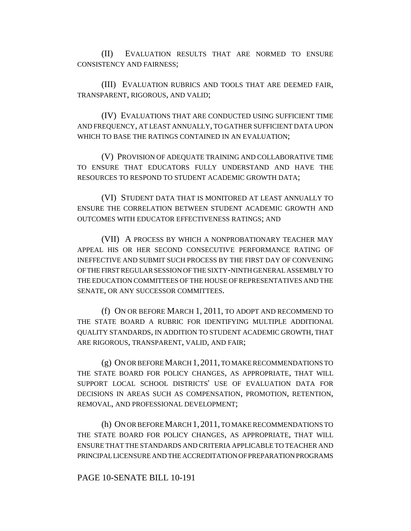(II) EVALUATION RESULTS THAT ARE NORMED TO ENSURE CONSISTENCY AND FAIRNESS;

(III) EVALUATION RUBRICS AND TOOLS THAT ARE DEEMED FAIR, TRANSPARENT, RIGOROUS, AND VALID;

(IV) EVALUATIONS THAT ARE CONDUCTED USING SUFFICIENT TIME AND FREQUENCY, AT LEAST ANNUALLY, TO GATHER SUFFICIENT DATA UPON WHICH TO BASE THE RATINGS CONTAINED IN AN EVALUATION;

(V) PROVISION OF ADEQUATE TRAINING AND COLLABORATIVE TIME TO ENSURE THAT EDUCATORS FULLY UNDERSTAND AND HAVE THE RESOURCES TO RESPOND TO STUDENT ACADEMIC GROWTH DATA;

(VI) STUDENT DATA THAT IS MONITORED AT LEAST ANNUALLY TO ENSURE THE CORRELATION BETWEEN STUDENT ACADEMIC GROWTH AND OUTCOMES WITH EDUCATOR EFFECTIVENESS RATINGS; AND

(VII) A PROCESS BY WHICH A NONPROBATIONARY TEACHER MAY APPEAL HIS OR HER SECOND CONSECUTIVE PERFORMANCE RATING OF INEFFECTIVE AND SUBMIT SUCH PROCESS BY THE FIRST DAY OF CONVENING OF THE FIRST REGULAR SESSION OF THE SIXTY-NINTH GENERAL ASSEMBLY TO THE EDUCATION COMMITTEES OF THE HOUSE OF REPRESENTATIVES AND THE SENATE, OR ANY SUCCESSOR COMMITTEES.

(f) ON OR BEFORE MARCH 1, 2011, TO ADOPT AND RECOMMEND TO THE STATE BOARD A RUBRIC FOR IDENTIFYING MULTIPLE ADDITIONAL QUALITY STANDARDS, IN ADDITION TO STUDENT ACADEMIC GROWTH, THAT ARE RIGOROUS, TRANSPARENT, VALID, AND FAIR;

(g) ON OR BEFORE MARCH 1,2011, TO MAKE RECOMMENDATIONS TO THE STATE BOARD FOR POLICY CHANGES, AS APPROPRIATE, THAT WILL SUPPORT LOCAL SCHOOL DISTRICTS' USE OF EVALUATION DATA FOR DECISIONS IN AREAS SUCH AS COMPENSATION, PROMOTION, RETENTION, REMOVAL, AND PROFESSIONAL DEVELOPMENT;

(h) ON OR BEFORE MARCH 1,2011, TO MAKE RECOMMENDATIONS TO THE STATE BOARD FOR POLICY CHANGES, AS APPROPRIATE, THAT WILL ENSURE THAT THE STANDARDS AND CRITERIA APPLICABLE TO TEACHER AND PRINCIPAL LICENSURE AND THE ACCREDITATION OF PREPARATION PROGRAMS

# PAGE 10-SENATE BILL 10-191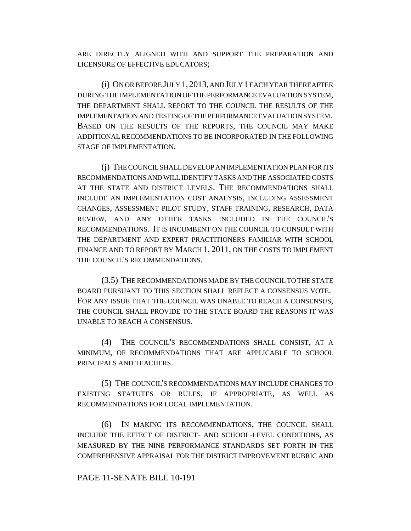ARE DIRECTLY ALIGNED WITH AND SUPPORT THE PREPARATION AND LICENSURE OF EFFECTIVE EDUCATORS;

(i) ON OR BEFORE JULY 1,2013, AND JULY 1 EACH YEAR THEREAFTER DURING THE IMPLEMENTATION OF THE PERFORMANCE EVALUATION SYSTEM, THE DEPARTMENT SHALL REPORT TO THE COUNCIL THE RESULTS OF THE IMPLEMENTATION AND TESTING OF THE PERFORMANCE EVALUATION SYSTEM. BASED ON THE RESULTS OF THE REPORTS, THE COUNCIL MAY MAKE ADDITIONAL RECOMMENDATIONS TO BE INCORPORATED IN THE FOLLOWING STAGE OF IMPLEMENTATION.

(j) THE COUNCIL SHALL DEVELOP AN IMPLEMENTATION PLAN FOR ITS RECOMMENDATIONS AND WILL IDENTIFY TASKS AND THE ASSOCIATED COSTS AT THE STATE AND DISTRICT LEVELS. THE RECOMMENDATIONS SHALL INCLUDE AN IMPLEMENTATION COST ANALYSIS, INCLUDING ASSESSMENT CHANGES, ASSESSMENT PILOT STUDY, STAFF TRAINING, RESEARCH, DATA REVIEW, AND ANY OTHER TASKS INCLUDED IN THE COUNCIL'S RECOMMENDATIONS. IT IS INCUMBENT ON THE COUNCIL TO CONSULT WITH THE DEPARTMENT AND EXPERT PRACTITIONERS FAMILIAR WITH SCHOOL FINANCE AND TO REPORT BY MARCH 1, 2011, ON THE COSTS TO IMPLEMENT THE COUNCIL'S RECOMMENDATIONS.

(3.5) THE RECOMMENDATIONS MADE BY THE COUNCIL TO THE STATE BOARD PURSUANT TO THIS SECTION SHALL REFLECT A CONSENSUS VOTE. FOR ANY ISSUE THAT THE COUNCIL WAS UNABLE TO REACH A CONSENSUS, THE COUNCIL SHALL PROVIDE TO THE STATE BOARD THE REASONS IT WAS UNABLE TO REACH A CONSENSUS.

(4) THE COUNCIL'S RECOMMENDATIONS SHALL CONSIST, AT A MINIMUM, OF RECOMMENDATIONS THAT ARE APPLICABLE TO SCHOOL PRINCIPALS AND TEACHERS.

(5) THE COUNCIL'S RECOMMENDATIONS MAY INCLUDE CHANGES TO EXISTING STATUTES OR RULES, IF APPROPRIATE, AS WELL AS RECOMMENDATIONS FOR LOCAL IMPLEMENTATION.

(6) IN MAKING ITS RECOMMENDATIONS, THE COUNCIL SHALL INCLUDE THE EFFECT OF DISTRICT- AND SCHOOL-LEVEL CONDITIONS, AS MEASURED BY THE NINE PERFORMANCE STANDARDS SET FORTH IN THE COMPREHENSIVE APPRAISAL FOR THE DISTRICT IMPROVEMENT RUBRIC AND

### PAGE 11-SENATE BILL 10-191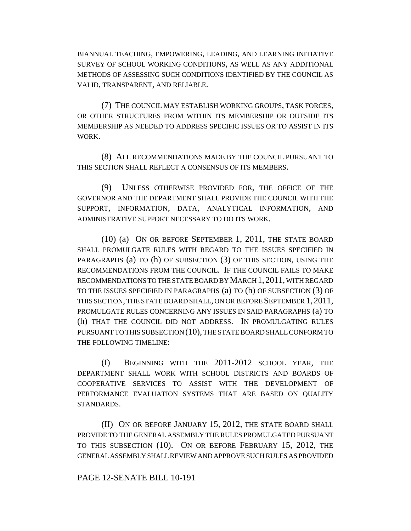BIANNUAL TEACHING, EMPOWERING, LEADING, AND LEARNING INITIATIVE SURVEY OF SCHOOL WORKING CONDITIONS, AS WELL AS ANY ADDITIONAL METHODS OF ASSESSING SUCH CONDITIONS IDENTIFIED BY THE COUNCIL AS VALID, TRANSPARENT, AND RELIABLE.

(7) THE COUNCIL MAY ESTABLISH WORKING GROUPS, TASK FORCES, OR OTHER STRUCTURES FROM WITHIN ITS MEMBERSHIP OR OUTSIDE ITS MEMBERSHIP AS NEEDED TO ADDRESS SPECIFIC ISSUES OR TO ASSIST IN ITS WORK.

(8) ALL RECOMMENDATIONS MADE BY THE COUNCIL PURSUANT TO THIS SECTION SHALL REFLECT A CONSENSUS OF ITS MEMBERS.

(9) UNLESS OTHERWISE PROVIDED FOR, THE OFFICE OF THE GOVERNOR AND THE DEPARTMENT SHALL PROVIDE THE COUNCIL WITH THE SUPPORT, INFORMATION, DATA, ANALYTICAL INFORMATION, AND ADMINISTRATIVE SUPPORT NECESSARY TO DO ITS WORK.

(10) (a) ON OR BEFORE SEPTEMBER 1, 2011, THE STATE BOARD SHALL PROMULGATE RULES WITH REGARD TO THE ISSUES SPECIFIED IN PARAGRAPHS (a) TO (h) OF SUBSECTION (3) OF THIS SECTION, USING THE RECOMMENDATIONS FROM THE COUNCIL. IF THE COUNCIL FAILS TO MAKE RECOMMENDATIONS TO THE STATE BOARD BY MARCH 1,2011, WITH REGARD TO THE ISSUES SPECIFIED IN PARAGRAPHS (a) TO (h) OF SUBSECTION (3) OF THIS SECTION, THE STATE BOARD SHALL, ON OR BEFORE SEPTEMBER 1, 2011, PROMULGATE RULES CONCERNING ANY ISSUES IN SAID PARAGRAPHS (a) TO (h) THAT THE COUNCIL DID NOT ADDRESS. IN PROMULGATING RULES PURSUANT TO THIS SUBSECTION (10), THE STATE BOARD SHALL CONFORM TO THE FOLLOWING TIMELINE:

(I) BEGINNING WITH THE 2011-2012 SCHOOL YEAR, THE DEPARTMENT SHALL WORK WITH SCHOOL DISTRICTS AND BOARDS OF COOPERATIVE SERVICES TO ASSIST WITH THE DEVELOPMENT OF PERFORMANCE EVALUATION SYSTEMS THAT ARE BASED ON QUALITY STANDARDS.

(II) ON OR BEFORE JANUARY 15, 2012, THE STATE BOARD SHALL PROVIDE TO THE GENERAL ASSEMBLY THE RULES PROMULGATED PURSUANT TO THIS SUBSECTION (10). ON OR BEFORE FEBRUARY 15, 2012, THE GENERAL ASSEMBLY SHALL REVIEW AND APPROVE SUCH RULES AS PROVIDED

### PAGE 12-SENATE BILL 10-191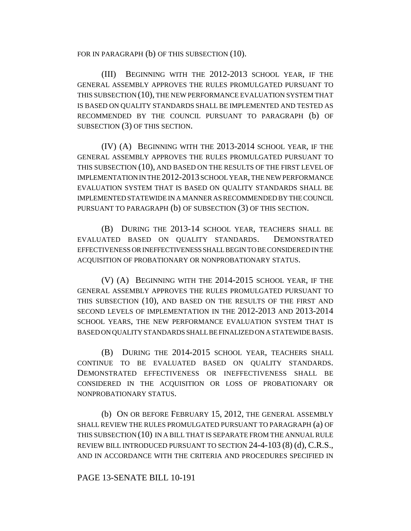FOR IN PARAGRAPH (b) OF THIS SUBSECTION (10).

(III) BEGINNING WITH THE 2012-2013 SCHOOL YEAR, IF THE GENERAL ASSEMBLY APPROVES THE RULES PROMULGATED PURSUANT TO THIS SUBSECTION (10), THE NEW PERFORMANCE EVALUATION SYSTEM THAT IS BASED ON QUALITY STANDARDS SHALL BE IMPLEMENTED AND TESTED AS RECOMMENDED BY THE COUNCIL PURSUANT TO PARAGRAPH (b) OF SUBSECTION (3) OF THIS SECTION.

(IV) (A) BEGINNING WITH THE 2013-2014 SCHOOL YEAR, IF THE GENERAL ASSEMBLY APPROVES THE RULES PROMULGATED PURSUANT TO THIS SUBSECTION (10), AND BASED ON THE RESULTS OF THE FIRST LEVEL OF IMPLEMENTATION IN THE 2012-2013 SCHOOL YEAR, THE NEW PERFORMANCE EVALUATION SYSTEM THAT IS BASED ON QUALITY STANDARDS SHALL BE IMPLEMENTED STATEWIDE IN A MANNER AS RECOMMENDED BY THE COUNCIL PURSUANT TO PARAGRAPH (b) OF SUBSECTION (3) OF THIS SECTION.

(B) DURING THE 2013-14 SCHOOL YEAR, TEACHERS SHALL BE EVALUATED BASED ON QUALITY STANDARDS. DEMONSTRATED EFFECTIVENESS OR INEFFECTIVENESS SHALL BEGIN TO BE CONSIDERED IN THE ACQUISITION OF PROBATIONARY OR NONPROBATIONARY STATUS.

(V) (A) BEGINNING WITH THE 2014-2015 SCHOOL YEAR, IF THE GENERAL ASSEMBLY APPROVES THE RULES PROMULGATED PURSUANT TO THIS SUBSECTION (10), AND BASED ON THE RESULTS OF THE FIRST AND SECOND LEVELS OF IMPLEMENTATION IN THE 2012-2013 AND 2013-2014 SCHOOL YEARS, THE NEW PERFORMANCE EVALUATION SYSTEM THAT IS BASED ON QUALITY STANDARDS SHALL BE FINALIZED ON A STATEWIDE BASIS.

(B) DURING THE 2014-2015 SCHOOL YEAR, TEACHERS SHALL CONTINUE TO BE EVALUATED BASED ON QUALITY STANDARDS. DEMONSTRATED EFFECTIVENESS OR INEFFECTIVENESS SHALL BE CONSIDERED IN THE ACQUISITION OR LOSS OF PROBATIONARY OR NONPROBATIONARY STATUS.

(b) ON OR BEFORE FEBRUARY 15, 2012, THE GENERAL ASSEMBLY SHALL REVIEW THE RULES PROMULGATED PURSUANT TO PARAGRAPH (a) OF THIS SUBSECTION (10) IN A BILL THAT IS SEPARATE FROM THE ANNUAL RULE REVIEW BILL INTRODUCED PURSUANT TO SECTION 24-4-103 (8) (d), C.R.S., AND IN ACCORDANCE WITH THE CRITERIA AND PROCEDURES SPECIFIED IN

## PAGE 13-SENATE BILL 10-191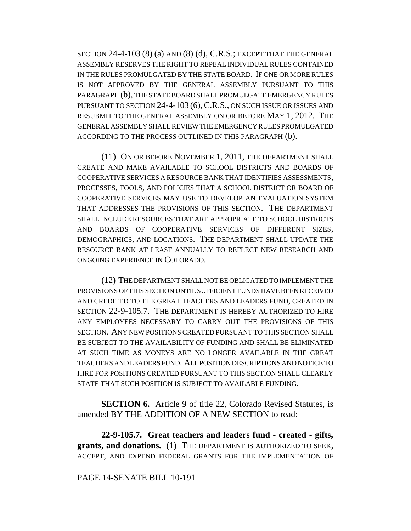SECTION  $24-4-103(8)$  (a) AND  $(8)$  (d), C.R.S.; EXCEPT THAT THE GENERAL ASSEMBLY RESERVES THE RIGHT TO REPEAL INDIVIDUAL RULES CONTAINED IN THE RULES PROMULGATED BY THE STATE BOARD. IF ONE OR MORE RULES IS NOT APPROVED BY THE GENERAL ASSEMBLY PURSUANT TO THIS PARAGRAPH (b), THE STATE BOARD SHALL PROMULGATE EMERGENCY RULES PURSUANT TO SECTION 24-4-103 (6),C.R.S., ON SUCH ISSUE OR ISSUES AND RESUBMIT TO THE GENERAL ASSEMBLY ON OR BEFORE MAY 1, 2012. THE GENERAL ASSEMBLY SHALL REVIEW THE EMERGENCY RULES PROMULGATED ACCORDING TO THE PROCESS OUTLINED IN THIS PARAGRAPH (b).

(11) ON OR BEFORE NOVEMBER 1, 2011, THE DEPARTMENT SHALL CREATE AND MAKE AVAILABLE TO SCHOOL DISTRICTS AND BOARDS OF COOPERATIVE SERVICES A RESOURCE BANK THAT IDENTIFIES ASSESSMENTS, PROCESSES, TOOLS, AND POLICIES THAT A SCHOOL DISTRICT OR BOARD OF COOPERATIVE SERVICES MAY USE TO DEVELOP AN EVALUATION SYSTEM THAT ADDRESSES THE PROVISIONS OF THIS SECTION. THE DEPARTMENT SHALL INCLUDE RESOURCES THAT ARE APPROPRIATE TO SCHOOL DISTRICTS AND BOARDS OF COOPERATIVE SERVICES OF DIFFERENT SIZES, DEMOGRAPHICS, AND LOCATIONS. THE DEPARTMENT SHALL UPDATE THE RESOURCE BANK AT LEAST ANNUALLY TO REFLECT NEW RESEARCH AND ONGOING EXPERIENCE IN COLORADO.

(12) THE DEPARTMENT SHALL NOT BE OBLIGATED TO IMPLEMENT THE PROVISIONS OF THIS SECTION UNTIL SUFFICIENT FUNDS HAVE BEEN RECEIVED AND CREDITED TO THE GREAT TEACHERS AND LEADERS FUND, CREATED IN SECTION 22-9-105.7. THE DEPARTMENT IS HEREBY AUTHORIZED TO HIRE ANY EMPLOYEES NECESSARY TO CARRY OUT THE PROVISIONS OF THIS SECTION. ANY NEW POSITIONS CREATED PURSUANT TO THIS SECTION SHALL BE SUBJECT TO THE AVAILABILITY OF FUNDING AND SHALL BE ELIMINATED AT SUCH TIME AS MONEYS ARE NO LONGER AVAILABLE IN THE GREAT TEACHERS AND LEADERS FUND. ALL POSITION DESCRIPTIONS AND NOTICE TO HIRE FOR POSITIONS CREATED PURSUANT TO THIS SECTION SHALL CLEARLY STATE THAT SUCH POSITION IS SUBJECT TO AVAILABLE FUNDING.

**SECTION 6.** Article 9 of title 22, Colorado Revised Statutes, is amended BY THE ADDITION OF A NEW SECTION to read:

**22-9-105.7. Great teachers and leaders fund - created - gifts, grants, and donations.** (1) THE DEPARTMENT IS AUTHORIZED TO SEEK, ACCEPT, AND EXPEND FEDERAL GRANTS FOR THE IMPLEMENTATION OF

### PAGE 14-SENATE BILL 10-191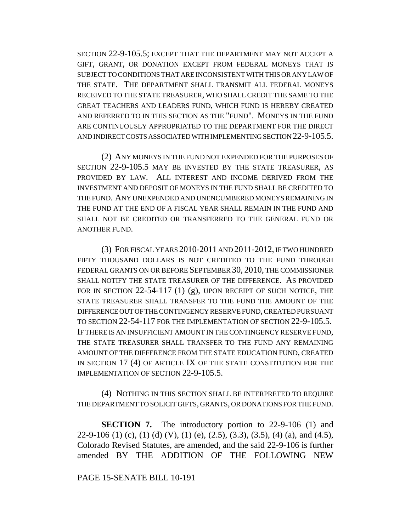SECTION 22-9-105.5; EXCEPT THAT THE DEPARTMENT MAY NOT ACCEPT A GIFT, GRANT, OR DONATION EXCEPT FROM FEDERAL MONEYS THAT IS SUBJECT TO CONDITIONS THAT ARE INCONSISTENT WITH THIS OR ANY LAW OF THE STATE. THE DEPARTMENT SHALL TRANSMIT ALL FEDERAL MONEYS RECEIVED TO THE STATE TREASURER, WHO SHALL CREDIT THE SAME TO THE GREAT TEACHERS AND LEADERS FUND, WHICH FUND IS HEREBY CREATED AND REFERRED TO IN THIS SECTION AS THE "FUND". MONEYS IN THE FUND ARE CONTINUOUSLY APPROPRIATED TO THE DEPARTMENT FOR THE DIRECT AND INDIRECT COSTS ASSOCIATED WITH IMPLEMENTING SECTION 22-9-105.5.

(2) ANY MONEYS IN THE FUND NOT EXPENDED FOR THE PURPOSES OF SECTION 22-9-105.5 MAY BE INVESTED BY THE STATE TREASURER, AS PROVIDED BY LAW. ALL INTEREST AND INCOME DERIVED FROM THE INVESTMENT AND DEPOSIT OF MONEYS IN THE FUND SHALL BE CREDITED TO THE FUND. ANY UNEXPENDED AND UNENCUMBERED MONEYS REMAINING IN THE FUND AT THE END OF A FISCAL YEAR SHALL REMAIN IN THE FUND AND SHALL NOT BE CREDITED OR TRANSFERRED TO THE GENERAL FUND OR ANOTHER FUND.

(3) FOR FISCAL YEARS 2010-2011 AND 2011-2012, IF TWO HUNDRED FIFTY THOUSAND DOLLARS IS NOT CREDITED TO THE FUND THROUGH FEDERAL GRANTS ON OR BEFORE SEPTEMBER 30, 2010, THE COMMISSIONER SHALL NOTIFY THE STATE TREASURER OF THE DIFFERENCE. AS PROVIDED FOR IN SECTION 22-54-117 (1) (g), UPON RECEIPT OF SUCH NOTICE, THE STATE TREASURER SHALL TRANSFER TO THE FUND THE AMOUNT OF THE DIFFERENCE OUT OF THE CONTINGENCY RESERVE FUND, CREATED PURSUANT TO SECTION 22-54-117 FOR THE IMPLEMENTATION OF SECTION 22-9-105.5. IF THERE IS AN INSUFFICIENT AMOUNT IN THE CONTINGENCY RESERVE FUND, THE STATE TREASURER SHALL TRANSFER TO THE FUND ANY REMAINING AMOUNT OF THE DIFFERENCE FROM THE STATE EDUCATION FUND, CREATED IN SECTION 17 (4) OF ARTICLE IX OF THE STATE CONSTITUTION FOR THE IMPLEMENTATION OF SECTION 22-9-105.5.

(4) NOTHING IN THIS SECTION SHALL BE INTERPRETED TO REQUIRE THE DEPARTMENT TO SOLICIT GIFTS, GRANTS, OR DONATIONS FOR THE FUND.

**SECTION 7.** The introductory portion to 22-9-106 (1) and 22-9-106 (1) (c), (1) (d) (V), (1) (e), (2.5), (3.3), (3.5), (4) (a), and (4.5), Colorado Revised Statutes, are amended, and the said 22-9-106 is further amended BY THE ADDITION OF THE FOLLOWING NEW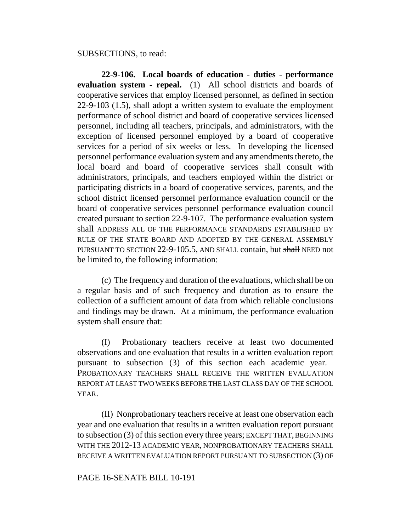### SUBSECTIONS, to read:

**22-9-106. Local boards of education - duties - performance evaluation system - repeal.** (1) All school districts and boards of cooperative services that employ licensed personnel, as defined in section 22-9-103 (1.5), shall adopt a written system to evaluate the employment performance of school district and board of cooperative services licensed personnel, including all teachers, principals, and administrators, with the exception of licensed personnel employed by a board of cooperative services for a period of six weeks or less. In developing the licensed personnel performance evaluation system and any amendments thereto, the local board and board of cooperative services shall consult with administrators, principals, and teachers employed within the district or participating districts in a board of cooperative services, parents, and the school district licensed personnel performance evaluation council or the board of cooperative services personnel performance evaluation council created pursuant to section 22-9-107. The performance evaluation system shall ADDRESS ALL OF THE PERFORMANCE STANDARDS ESTABLISHED BY RULE OF THE STATE BOARD AND ADOPTED BY THE GENERAL ASSEMBLY PURSUANT TO SECTION 22-9-105.5, AND SHALL contain, but shall NEED not be limited to, the following information:

(c) The frequency and duration of the evaluations, which shall be on a regular basis and of such frequency and duration as to ensure the collection of a sufficient amount of data from which reliable conclusions and findings may be drawn. At a minimum, the performance evaluation system shall ensure that:

(I) Probationary teachers receive at least two documented observations and one evaluation that results in a written evaluation report pursuant to subsection (3) of this section each academic year. PROBATIONARY TEACHERS SHALL RECEIVE THE WRITTEN EVALUATION REPORT AT LEAST TWO WEEKS BEFORE THE LAST CLASS DAY OF THE SCHOOL YEAR.

(II) Nonprobationary teachers receive at least one observation each year and one evaluation that results in a written evaluation report pursuant to subsection (3) of this section every three years; EXCEPT THAT, BEGINNING WITH THE 2012-13 ACADEMIC YEAR, NONPROBATIONARY TEACHERS SHALL RECEIVE A WRITTEN EVALUATION REPORT PURSUANT TO SUBSECTION (3) OF

# PAGE 16-SENATE BILL 10-191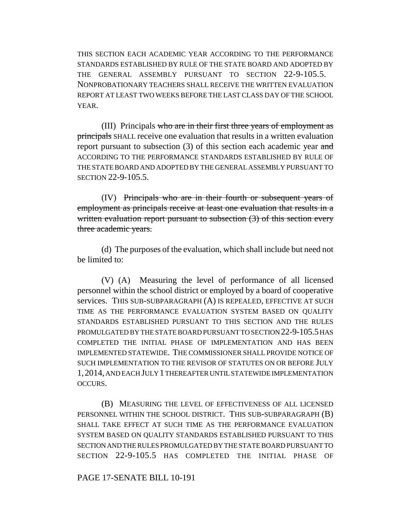THIS SECTION EACH ACADEMIC YEAR ACCORDING TO THE PERFORMANCE STANDARDS ESTABLISHED BY RULE OF THE STATE BOARD AND ADOPTED BY THE GENERAL ASSEMBLY PURSUANT TO SECTION 22-9-105.5. NONPROBATIONARY TEACHERS SHALL RECEIVE THE WRITTEN EVALUATION REPORT AT LEAST TWO WEEKS BEFORE THE LAST CLASS DAY OF THE SCHOOL YEAR.

(III) Principals who are in their first three years of employment as principals SHALL receive one evaluation that results in a written evaluation report pursuant to subsection  $(3)$  of this section each academic year and ACCORDING TO THE PERFORMANCE STANDARDS ESTABLISHED BY RULE OF THE STATE BOARD AND ADOPTED BY THE GENERAL ASSEMBLY PURSUANT TO SECTION 22-9-105.5.

(IV) Principals who are in their fourth or subsequent years of employment as principals receive at least one evaluation that results in a written evaluation report pursuant to subsection (3) of this section every three academic years.

(d) The purposes of the evaluation, which shall include but need not be limited to:

(V) (A) Measuring the level of performance of all licensed personnel within the school district or employed by a board of cooperative services. THIS SUB-SUBPARAGRAPH (A) IS REPEALED, EFFECTIVE AT SUCH TIME AS THE PERFORMANCE EVALUATION SYSTEM BASED ON QUALITY STANDARDS ESTABLISHED PURSUANT TO THIS SECTION AND THE RULES PROMULGATED BY THE STATE BOARD PURSUANT TO SECTION 22-9-105.5 HAS COMPLETED THE INITIAL PHASE OF IMPLEMENTATION AND HAS BEEN IMPLEMENTED STATEWIDE. THE COMMISSIONER SHALL PROVIDE NOTICE OF SUCH IMPLEMENTATION TO THE REVISOR OF STATUTES ON OR BEFORE JULY 1,2014, AND EACH JULY 1 THEREAFTER UNTIL STATEWIDE IMPLEMENTATION OCCURS.

(B) MEASURING THE LEVEL OF EFFECTIVENESS OF ALL LICENSED PERSONNEL WITHIN THE SCHOOL DISTRICT. THIS SUB-SUBPARAGRAPH (B) SHALL TAKE EFFECT AT SUCH TIME AS THE PERFORMANCE EVALUATION SYSTEM BASED ON QUALITY STANDARDS ESTABLISHED PURSUANT TO THIS SECTION AND THE RULES PROMULGATED BY THE STATE BOARD PURSUANT TO SECTION 22-9-105.5 HAS COMPLETED THE INITIAL PHASE OF

PAGE 17-SENATE BILL 10-191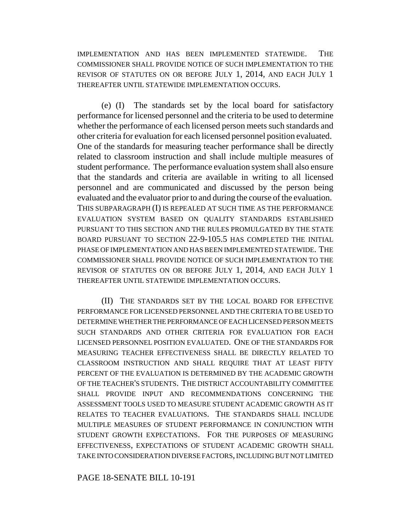IMPLEMENTATION AND HAS BEEN IMPLEMENTED STATEWIDE. THE COMMISSIONER SHALL PROVIDE NOTICE OF SUCH IMPLEMENTATION TO THE REVISOR OF STATUTES ON OR BEFORE JULY 1, 2014, AND EACH JULY 1 THEREAFTER UNTIL STATEWIDE IMPLEMENTATION OCCURS.

(e) (I) The standards set by the local board for satisfactory performance for licensed personnel and the criteria to be used to determine whether the performance of each licensed person meets such standards and other criteria for evaluation for each licensed personnel position evaluated. One of the standards for measuring teacher performance shall be directly related to classroom instruction and shall include multiple measures of student performance. The performance evaluation system shall also ensure that the standards and criteria are available in writing to all licensed personnel and are communicated and discussed by the person being evaluated and the evaluator prior to and during the course of the evaluation. THIS SUBPARAGRAPH (I) IS REPEALED AT SUCH TIME AS THE PERFORMANCE EVALUATION SYSTEM BASED ON QUALITY STANDARDS ESTABLISHED PURSUANT TO THIS SECTION AND THE RULES PROMULGATED BY THE STATE BOARD PURSUANT TO SECTION 22-9-105.5 HAS COMPLETED THE INITIAL PHASE OF IMPLEMENTATION AND HAS BEEN IMPLEMENTED STATEWIDE. THE COMMISSIONER SHALL PROVIDE NOTICE OF SUCH IMPLEMENTATION TO THE REVISOR OF STATUTES ON OR BEFORE JULY 1, 2014, AND EACH JULY 1 THEREAFTER UNTIL STATEWIDE IMPLEMENTATION OCCURS.

(II) THE STANDARDS SET BY THE LOCAL BOARD FOR EFFECTIVE PERFORMANCE FOR LICENSED PERSONNEL AND THE CRITERIA TO BE USED TO DETERMINE WHETHER THE PERFORMANCE OF EACH LICENSED PERSON MEETS SUCH STANDARDS AND OTHER CRITERIA FOR EVALUATION FOR EACH LICENSED PERSONNEL POSITION EVALUATED. ONE OF THE STANDARDS FOR MEASURING TEACHER EFFECTIVENESS SHALL BE DIRECTLY RELATED TO CLASSROOM INSTRUCTION AND SHALL REQUIRE THAT AT LEAST FIFTY PERCENT OF THE EVALUATION IS DETERMINED BY THE ACADEMIC GROWTH OF THE TEACHER'S STUDENTS. THE DISTRICT ACCOUNTABILITY COMMITTEE SHALL PROVIDE INPUT AND RECOMMENDATIONS CONCERNING THE ASSESSMENT TOOLS USED TO MEASURE STUDENT ACADEMIC GROWTH AS IT RELATES TO TEACHER EVALUATIONS. THE STANDARDS SHALL INCLUDE MULTIPLE MEASURES OF STUDENT PERFORMANCE IN CONJUNCTION WITH STUDENT GROWTH EXPECTATIONS. FOR THE PURPOSES OF MEASURING EFFECTIVENESS, EXPECTATIONS OF STUDENT ACADEMIC GROWTH SHALL TAKE INTO CONSIDERATION DIVERSE FACTORS, INCLUDING BUT NOT LIMITED

PAGE 18-SENATE BILL 10-191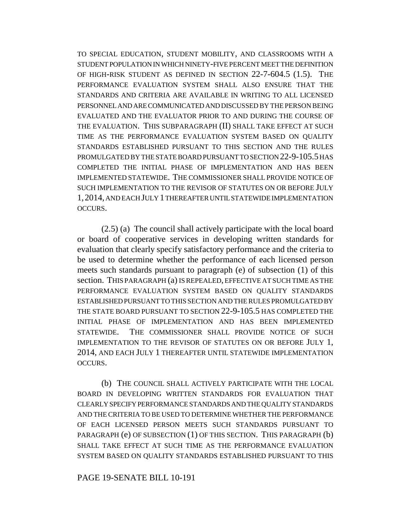TO SPECIAL EDUCATION, STUDENT MOBILITY, AND CLASSROOMS WITH A STUDENT POPULATION IN WHICH NINETY-FIVE PERCENT MEET THE DEFINITION OF HIGH-RISK STUDENT AS DEFINED IN SECTION 22-7-604.5 (1.5). THE PERFORMANCE EVALUATION SYSTEM SHALL ALSO ENSURE THAT THE STANDARDS AND CRITERIA ARE AVAILABLE IN WRITING TO ALL LICENSED PERSONNEL AND ARE COMMUNICATED AND DISCUSSED BY THE PERSON BEING EVALUATED AND THE EVALUATOR PRIOR TO AND DURING THE COURSE OF THE EVALUATION. THIS SUBPARAGRAPH (II) SHALL TAKE EFFECT AT SUCH TIME AS THE PERFORMANCE EVALUATION SYSTEM BASED ON QUALITY STANDARDS ESTABLISHED PURSUANT TO THIS SECTION AND THE RULES PROMULGATED BY THE STATE BOARD PURSUANT TO SECTION 22-9-105.5 HAS COMPLETED THE INITIAL PHASE OF IMPLEMENTATION AND HAS BEEN IMPLEMENTED STATEWIDE. THE COMMISSIONER SHALL PROVIDE NOTICE OF SUCH IMPLEMENTATION TO THE REVISOR OF STATUTES ON OR BEFORE JULY 1,2014, AND EACH JULY 1 THEREAFTER UNTIL STATEWIDE IMPLEMENTATION OCCURS.

(2.5) (a) The council shall actively participate with the local board or board of cooperative services in developing written standards for evaluation that clearly specify satisfactory performance and the criteria to be used to determine whether the performance of each licensed person meets such standards pursuant to paragraph (e) of subsection (1) of this section. THIS PARAGRAPH (a) IS REPEALED, EFFECTIVE AT SUCH TIME AS THE PERFORMANCE EVALUATION SYSTEM BASED ON QUALITY STANDARDS ESTABLISHED PURSUANT TO THIS SECTION AND THE RULES PROMULGATED BY THE STATE BOARD PURSUANT TO SECTION 22-9-105.5 HAS COMPLETED THE INITIAL PHASE OF IMPLEMENTATION AND HAS BEEN IMPLEMENTED STATEWIDE. THE COMMISSIONER SHALL PROVIDE NOTICE OF SUCH IMPLEMENTATION TO THE REVISOR OF STATUTES ON OR BEFORE JULY 1, 2014, AND EACH JULY 1 THEREAFTER UNTIL STATEWIDE IMPLEMENTATION OCCURS.

(b) THE COUNCIL SHALL ACTIVELY PARTICIPATE WITH THE LOCAL BOARD IN DEVELOPING WRITTEN STANDARDS FOR EVALUATION THAT CLEARLY SPECIFY PERFORMANCE STANDARDS AND THE QUALITY STANDARDS AND THE CRITERIA TO BE USED TO DETERMINE WHETHER THE PERFORMANCE OF EACH LICENSED PERSON MEETS SUCH STANDARDS PURSUANT TO PARAGRAPH (e) OF SUBSECTION (1) OF THIS SECTION. THIS PARAGRAPH (b) SHALL TAKE EFFECT AT SUCH TIME AS THE PERFORMANCE EVALUATION SYSTEM BASED ON QUALITY STANDARDS ESTABLISHED PURSUANT TO THIS

PAGE 19-SENATE BILL 10-191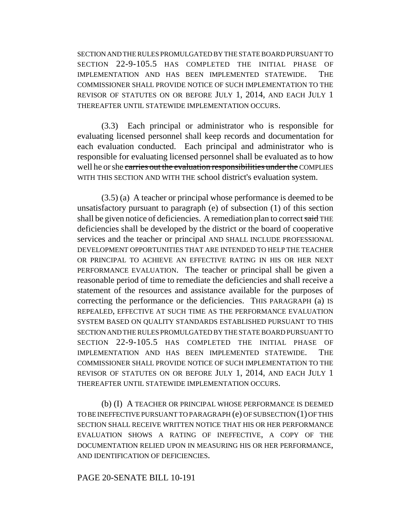SECTION AND THE RULES PROMULGATED BY THE STATE BOARD PURSUANT TO SECTION 22-9-105.5 HAS COMPLETED THE INITIAL PHASE OF IMPLEMENTATION AND HAS BEEN IMPLEMENTED STATEWIDE. THE COMMISSIONER SHALL PROVIDE NOTICE OF SUCH IMPLEMENTATION TO THE REVISOR OF STATUTES ON OR BEFORE JULY 1, 2014, AND EACH JULY 1 THEREAFTER UNTIL STATEWIDE IMPLEMENTATION OCCURS.

(3.3) Each principal or administrator who is responsible for evaluating licensed personnel shall keep records and documentation for each evaluation conducted. Each principal and administrator who is responsible for evaluating licensed personnel shall be evaluated as to how well he or she carries out the evaluation responsibilities under the COMPLIES WITH THIS SECTION AND WITH THE school district's evaluation system.

(3.5) (a) A teacher or principal whose performance is deemed to be unsatisfactory pursuant to paragraph (e) of subsection (1) of this section shall be given notice of deficiencies. A remediation plan to correct said THE deficiencies shall be developed by the district or the board of cooperative services and the teacher or principal AND SHALL INCLUDE PROFESSIONAL DEVELOPMENT OPPORTUNITIES THAT ARE INTENDED TO HELP THE TEACHER OR PRINCIPAL TO ACHIEVE AN EFFECTIVE RATING IN HIS OR HER NEXT PERFORMANCE EVALUATION. The teacher or principal shall be given a reasonable period of time to remediate the deficiencies and shall receive a statement of the resources and assistance available for the purposes of correcting the performance or the deficiencies. THIS PARAGRAPH (a) IS REPEALED, EFFECTIVE AT SUCH TIME AS THE PERFORMANCE EVALUATION SYSTEM BASED ON QUALITY STANDARDS ESTABLISHED PURSUANT TO THIS SECTION AND THE RULES PROMULGATED BY THE STATE BOARD PURSUANT TO SECTION 22-9-105.5 HAS COMPLETED THE INITIAL PHASE OF IMPLEMENTATION AND HAS BEEN IMPLEMENTED STATEWIDE. THE COMMISSIONER SHALL PROVIDE NOTICE OF SUCH IMPLEMENTATION TO THE REVISOR OF STATUTES ON OR BEFORE JULY 1, 2014, AND EACH JULY 1 THEREAFTER UNTIL STATEWIDE IMPLEMENTATION OCCURS.

(b) (I) A TEACHER OR PRINCIPAL WHOSE PERFORMANCE IS DEEMED TO BE INEFFECTIVE PURSUANT TO PARAGRAPH (e) OF SUBSECTION (1) OF THIS SECTION SHALL RECEIVE WRITTEN NOTICE THAT HIS OR HER PERFORMANCE EVALUATION SHOWS A RATING OF INEFFECTIVE, A COPY OF THE DOCUMENTATION RELIED UPON IN MEASURING HIS OR HER PERFORMANCE, AND IDENTIFICATION OF DEFICIENCIES.

## PAGE 20-SENATE BILL 10-191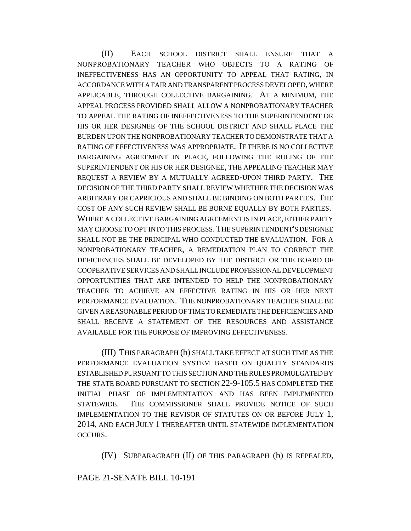(II) EACH SCHOOL DISTRICT SHALL ENSURE THAT A NONPROBATIONARY TEACHER WHO OBJECTS TO A RATING OF INEFFECTIVENESS HAS AN OPPORTUNITY TO APPEAL THAT RATING, IN ACCORDANCE WITH A FAIR AND TRANSPARENT PROCESS DEVELOPED, WHERE APPLICABLE, THROUGH COLLECTIVE BARGAINING. AT A MINIMUM, THE APPEAL PROCESS PROVIDED SHALL ALLOW A NONPROBATIONARY TEACHER TO APPEAL THE RATING OF INEFFECTIVENESS TO THE SUPERINTENDENT OR HIS OR HER DESIGNEE OF THE SCHOOL DISTRICT AND SHALL PLACE THE BURDEN UPON THE NONPROBATIONARY TEACHER TO DEMONSTRATE THAT A RATING OF EFFECTIVENESS WAS APPROPRIATE. IF THERE IS NO COLLECTIVE BARGAINING AGREEMENT IN PLACE, FOLLOWING THE RULING OF THE SUPERINTENDENT OR HIS OR HER DESIGNEE, THE APPEALING TEACHER MAY REQUEST A REVIEW BY A MUTUALLY AGREED-UPON THIRD PARTY. THE DECISION OF THE THIRD PARTY SHALL REVIEW WHETHER THE DECISION WAS ARBITRARY OR CAPRICIOUS AND SHALL BE BINDING ON BOTH PARTIES. THE COST OF ANY SUCH REVIEW SHALL BE BORNE EQUALLY BY BOTH PARTIES. WHERE A COLLECTIVE BARGAINING AGREEMENT IS IN PLACE, EITHER PARTY MAY CHOOSE TO OPT INTO THIS PROCESS.THE SUPERINTENDENT'S DESIGNEE SHALL NOT BE THE PRINCIPAL WHO CONDUCTED THE EVALUATION. FOR A NONPROBATIONARY TEACHER, A REMEDIATION PLAN TO CORRECT THE DEFICIENCIES SHALL BE DEVELOPED BY THE DISTRICT OR THE BOARD OF COOPERATIVE SERVICES AND SHALL INCLUDE PROFESSIONAL DEVELOPMENT OPPORTUNITIES THAT ARE INTENDED TO HELP THE NONPROBATIONARY TEACHER TO ACHIEVE AN EFFECTIVE RATING IN HIS OR HER NEXT PERFORMANCE EVALUATION. THE NONPROBATIONARY TEACHER SHALL BE GIVEN A REASONABLE PERIOD OF TIME TO REMEDIATE THE DEFICIENCIES AND SHALL RECEIVE A STATEMENT OF THE RESOURCES AND ASSISTANCE AVAILABLE FOR THE PURPOSE OF IMPROVING EFFECTIVENESS.

(III) THIS PARAGRAPH (b) SHALL TAKE EFFECT AT SUCH TIME AS THE PERFORMANCE EVALUATION SYSTEM BASED ON QUALITY STANDARDS ESTABLISHED PURSUANT TO THIS SECTION AND THE RULES PROMULGATED BY THE STATE BOARD PURSUANT TO SECTION 22-9-105.5 HAS COMPLETED THE INITIAL PHASE OF IMPLEMENTATION AND HAS BEEN IMPLEMENTED STATEWIDE. THE COMMISSIONER SHALL PROVIDE NOTICE OF SUCH IMPLEMENTATION TO THE REVISOR OF STATUTES ON OR BEFORE JULY 1, 2014, AND EACH JULY 1 THEREAFTER UNTIL STATEWIDE IMPLEMENTATION OCCURS.

(IV) SUBPARAGRAPH (II) OF THIS PARAGRAPH (b) IS REPEALED,

## PAGE 21-SENATE BILL 10-191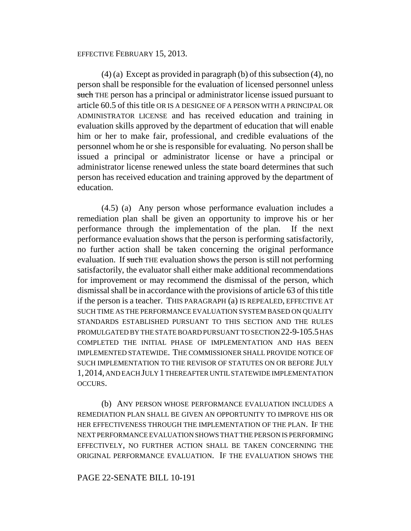### EFFECTIVE FEBRUARY 15, 2013.

(4) (a) Except as provided in paragraph (b) of this subsection (4), no person shall be responsible for the evaluation of licensed personnel unless such THE person has a principal or administrator license issued pursuant to article 60.5 of this title OR IS A DESIGNEE OF A PERSON WITH A PRINCIPAL OR ADMINISTRATOR LICENSE and has received education and training in evaluation skills approved by the department of education that will enable him or her to make fair, professional, and credible evaluations of the personnel whom he or she is responsible for evaluating. No person shall be issued a principal or administrator license or have a principal or administrator license renewed unless the state board determines that such person has received education and training approved by the department of education.

(4.5) (a) Any person whose performance evaluation includes a remediation plan shall be given an opportunity to improve his or her performance through the implementation of the plan. If the next performance evaluation shows that the person is performing satisfactorily, no further action shall be taken concerning the original performance evaluation. If such THE evaluation shows the person is still not performing satisfactorily, the evaluator shall either make additional recommendations for improvement or may recommend the dismissal of the person, which dismissal shall be in accordance with the provisions of article 63 of this title if the person is a teacher. THIS PARAGRAPH (a) IS REPEALED, EFFECTIVE AT SUCH TIME AS THE PERFORMANCE EVALUATION SYSTEM BASED ON QUALITY STANDARDS ESTABLISHED PURSUANT TO THIS SECTION AND THE RULES PROMULGATED BY THE STATE BOARD PURSUANT TO SECTION 22-9-105.5 HAS COMPLETED THE INITIAL PHASE OF IMPLEMENTATION AND HAS BEEN IMPLEMENTED STATEWIDE. THE COMMISSIONER SHALL PROVIDE NOTICE OF SUCH IMPLEMENTATION TO THE REVISOR OF STATUTES ON OR BEFORE JULY 1,2014, AND EACH JULY 1 THEREAFTER UNTIL STATEWIDE IMPLEMENTATION OCCURS.

(b) ANY PERSON WHOSE PERFORMANCE EVALUATION INCLUDES A REMEDIATION PLAN SHALL BE GIVEN AN OPPORTUNITY TO IMPROVE HIS OR HER EFFECTIVENESS THROUGH THE IMPLEMENTATION OF THE PLAN. IF THE NEXT PERFORMANCE EVALUATION SHOWS THAT THE PERSON IS PERFORMING EFFECTIVELY, NO FURTHER ACTION SHALL BE TAKEN CONCERNING THE ORIGINAL PERFORMANCE EVALUATION. IF THE EVALUATION SHOWS THE

# PAGE 22-SENATE BILL 10-191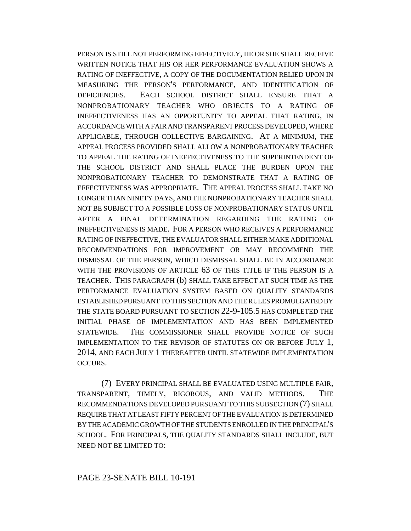PERSON IS STILL NOT PERFORMING EFFECTIVELY, HE OR SHE SHALL RECEIVE WRITTEN NOTICE THAT HIS OR HER PERFORMANCE EVALUATION SHOWS A RATING OF INEFFECTIVE, A COPY OF THE DOCUMENTATION RELIED UPON IN MEASURING THE PERSON'S PERFORMANCE, AND IDENTIFICATION OF DEFICIENCIES. EACH SCHOOL DISTRICT SHALL ENSURE THAT A NONPROBATIONARY TEACHER WHO OBJECTS TO A RATING OF INEFFECTIVENESS HAS AN OPPORTUNITY TO APPEAL THAT RATING, IN ACCORDANCE WITH A FAIR AND TRANSPARENT PROCESS DEVELOPED, WHERE APPLICABLE, THROUGH COLLECTIVE BARGAINING. AT A MINIMUM, THE APPEAL PROCESS PROVIDED SHALL ALLOW A NONPROBATIONARY TEACHER TO APPEAL THE RATING OF INEFFECTIVENESS TO THE SUPERINTENDENT OF THE SCHOOL DISTRICT AND SHALL PLACE THE BURDEN UPON THE NONPROBATIONARY TEACHER TO DEMONSTRATE THAT A RATING OF EFFECTIVENESS WAS APPROPRIATE. THE APPEAL PROCESS SHALL TAKE NO LONGER THAN NINETY DAYS, AND THE NONPROBATIONARY TEACHER SHALL NOT BE SUBJECT TO A POSSIBLE LOSS OF NONPROBATIONARY STATUS UNTIL AFTER A FINAL DETERMINATION REGARDING THE RATING OF INEFFECTIVENESS IS MADE. FOR A PERSON WHO RECEIVES A PERFORMANCE RATING OF INEFFECTIVE, THE EVALUATOR SHALL EITHER MAKE ADDITIONAL RECOMMENDATIONS FOR IMPROVEMENT OR MAY RECOMMEND THE DISMISSAL OF THE PERSON, WHICH DISMISSAL SHALL BE IN ACCORDANCE WITH THE PROVISIONS OF ARTICLE 63 OF THIS TITLE IF THE PERSON IS A TEACHER. THIS PARAGRAPH (b) SHALL TAKE EFFECT AT SUCH TIME AS THE PERFORMANCE EVALUATION SYSTEM BASED ON QUALITY STANDARDS ESTABLISHED PURSUANT TO THIS SECTION AND THE RULES PROMULGATED BY THE STATE BOARD PURSUANT TO SECTION 22-9-105.5 HAS COMPLETED THE INITIAL PHASE OF IMPLEMENTATION AND HAS BEEN IMPLEMENTED STATEWIDE. THE COMMISSIONER SHALL PROVIDE NOTICE OF SUCH IMPLEMENTATION TO THE REVISOR OF STATUTES ON OR BEFORE JULY 1, 2014, AND EACH JULY 1 THEREAFTER UNTIL STATEWIDE IMPLEMENTATION OCCURS.

(7) EVERY PRINCIPAL SHALL BE EVALUATED USING MULTIPLE FAIR, TRANSPARENT, TIMELY, RIGOROUS, AND VALID METHODS. THE RECOMMENDATIONS DEVELOPED PURSUANT TO THIS SUBSECTION (7) SHALL REQUIRE THAT AT LEAST FIFTY PERCENT OF THE EVALUATION IS DETERMINED BY THE ACADEMIC GROWTH OF THE STUDENTS ENROLLED IN THE PRINCIPAL'S SCHOOL. FOR PRINCIPALS, THE QUALITY STANDARDS SHALL INCLUDE, BUT NEED NOT BE LIMITED TO:

### PAGE 23-SENATE BILL 10-191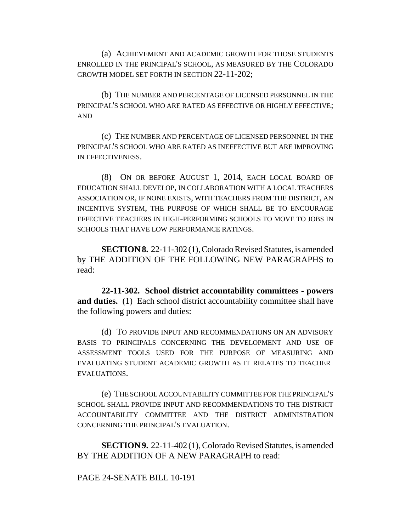(a) ACHIEVEMENT AND ACADEMIC GROWTH FOR THOSE STUDENTS ENROLLED IN THE PRINCIPAL'S SCHOOL, AS MEASURED BY THE COLORADO GROWTH MODEL SET FORTH IN SECTION 22-11-202;

(b) THE NUMBER AND PERCENTAGE OF LICENSED PERSONNEL IN THE PRINCIPAL'S SCHOOL WHO ARE RATED AS EFFECTIVE OR HIGHLY EFFECTIVE; AND

(c) THE NUMBER AND PERCENTAGE OF LICENSED PERSONNEL IN THE PRINCIPAL'S SCHOOL WHO ARE RATED AS INEFFECTIVE BUT ARE IMPROVING IN EFFECTIVENESS.

(8) ON OR BEFORE AUGUST 1, 2014, EACH LOCAL BOARD OF EDUCATION SHALL DEVELOP, IN COLLABORATION WITH A LOCAL TEACHERS ASSOCIATION OR, IF NONE EXISTS, WITH TEACHERS FROM THE DISTRICT, AN INCENTIVE SYSTEM, THE PURPOSE OF WHICH SHALL BE TO ENCOURAGE EFFECTIVE TEACHERS IN HIGH-PERFORMING SCHOOLS TO MOVE TO JOBS IN SCHOOLS THAT HAVE LOW PERFORMANCE RATINGS.

**SECTION 8.** 22-11-302 (1), Colorado Revised Statutes, is amended by THE ADDITION OF THE FOLLOWING NEW PARAGRAPHS to read:

**22-11-302. School district accountability committees - powers and duties.** (1) Each school district accountability committee shall have the following powers and duties:

(d) TO PROVIDE INPUT AND RECOMMENDATIONS ON AN ADVISORY BASIS TO PRINCIPALS CONCERNING THE DEVELOPMENT AND USE OF ASSESSMENT TOOLS USED FOR THE PURPOSE OF MEASURING AND EVALUATING STUDENT ACADEMIC GROWTH AS IT RELATES TO TEACHER EVALUATIONS.

(e) THE SCHOOL ACCOUNTABILITY COMMITTEE FOR THE PRINCIPAL'S SCHOOL SHALL PROVIDE INPUT AND RECOMMENDATIONS TO THE DISTRICT ACCOUNTABILITY COMMITTEE AND THE DISTRICT ADMINISTRATION CONCERNING THE PRINCIPAL'S EVALUATION.

**SECTION 9.** 22-11-402 (1), Colorado Revised Statutes, is amended BY THE ADDITION OF A NEW PARAGRAPH to read:

PAGE 24-SENATE BILL 10-191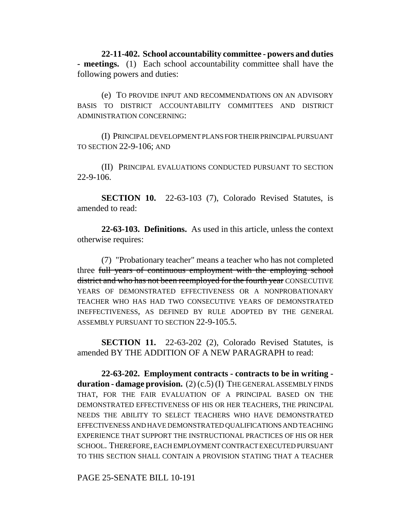**22-11-402. School accountability committee - powers and duties - meetings.** (1) Each school accountability committee shall have the following powers and duties:

(e) TO PROVIDE INPUT AND RECOMMENDATIONS ON AN ADVISORY BASIS TO DISTRICT ACCOUNTABILITY COMMITTEES AND DISTRICT ADMINISTRATION CONCERNING:

(I) PRINCIPAL DEVELOPMENT PLANS FOR THEIR PRINCIPAL PURSUANT TO SECTION 22-9-106; AND

(II) PRINCIPAL EVALUATIONS CONDUCTED PURSUANT TO SECTION 22-9-106.

**SECTION 10.** 22-63-103 (7), Colorado Revised Statutes, is amended to read:

**22-63-103. Definitions.** As used in this article, unless the context otherwise requires:

(7) "Probationary teacher" means a teacher who has not completed three full years of continuous employment with the employing school district and who has not been reemployed for the fourth year CONSECUTIVE YEARS OF DEMONSTRATED EFFECTIVENESS OR A NONPROBATIONARY TEACHER WHO HAS HAD TWO CONSECUTIVE YEARS OF DEMONSTRATED INEFFECTIVENESS, AS DEFINED BY RULE ADOPTED BY THE GENERAL ASSEMBLY PURSUANT TO SECTION 22-9-105.5.

**SECTION 11.** 22-63-202 (2), Colorado Revised Statutes, is amended BY THE ADDITION OF A NEW PARAGRAPH to read:

**22-63-202. Employment contracts - contracts to be in writing duration - damage provision.** (2) (c.5) (I) THE GENERAL ASSEMBLY FINDS THAT, FOR THE FAIR EVALUATION OF A PRINCIPAL BASED ON THE DEMONSTRATED EFFECTIVENESS OF HIS OR HER TEACHERS, THE PRINCIPAL NEEDS THE ABILITY TO SELECT TEACHERS WHO HAVE DEMONSTRATED EFFECTIVENESS AND HAVE DEMONSTRATED QUALIFICATIONS AND TEACHING EXPERIENCE THAT SUPPORT THE INSTRUCTIONAL PRACTICES OF HIS OR HER SCHOOL. THEREFORE, EACH EMPLOYMENT CONTRACT EXECUTED PURSUANT TO THIS SECTION SHALL CONTAIN A PROVISION STATING THAT A TEACHER

PAGE 25-SENATE BILL 10-191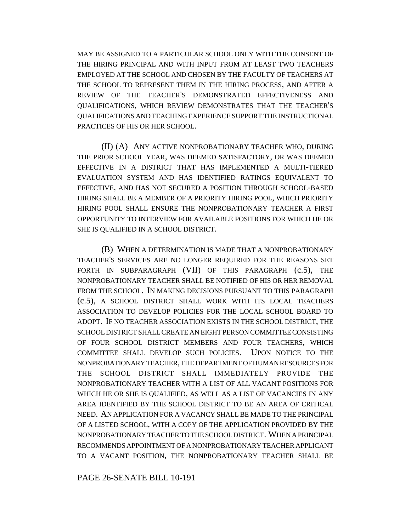MAY BE ASSIGNED TO A PARTICULAR SCHOOL ONLY WITH THE CONSENT OF THE HIRING PRINCIPAL AND WITH INPUT FROM AT LEAST TWO TEACHERS EMPLOYED AT THE SCHOOL AND CHOSEN BY THE FACULTY OF TEACHERS AT THE SCHOOL TO REPRESENT THEM IN THE HIRING PROCESS, AND AFTER A REVIEW OF THE TEACHER'S DEMONSTRATED EFFECTIVENESS AND QUALIFICATIONS, WHICH REVIEW DEMONSTRATES THAT THE TEACHER'S QUALIFICATIONS AND TEACHING EXPERIENCE SUPPORT THE INSTRUCTIONAL PRACTICES OF HIS OR HER SCHOOL.

(II) (A) ANY ACTIVE NONPROBATIONARY TEACHER WHO, DURING THE PRIOR SCHOOL YEAR, WAS DEEMED SATISFACTORY, OR WAS DEEMED EFFECTIVE IN A DISTRICT THAT HAS IMPLEMENTED A MULTI-TIERED EVALUATION SYSTEM AND HAS IDENTIFIED RATINGS EQUIVALENT TO EFFECTIVE, AND HAS NOT SECURED A POSITION THROUGH SCHOOL-BASED HIRING SHALL BE A MEMBER OF A PRIORITY HIRING POOL, WHICH PRIORITY HIRING POOL SHALL ENSURE THE NONPROBATIONARY TEACHER A FIRST OPPORTUNITY TO INTERVIEW FOR AVAILABLE POSITIONS FOR WHICH HE OR SHE IS QUALIFIED IN A SCHOOL DISTRICT.

(B) WHEN A DETERMINATION IS MADE THAT A NONPROBATIONARY TEACHER'S SERVICES ARE NO LONGER REQUIRED FOR THE REASONS SET FORTH IN SUBPARAGRAPH (VII) OF THIS PARAGRAPH (c.5), THE NONPROBATIONARY TEACHER SHALL BE NOTIFIED OF HIS OR HER REMOVAL FROM THE SCHOOL. IN MAKING DECISIONS PURSUANT TO THIS PARAGRAPH (c.5), A SCHOOL DISTRICT SHALL WORK WITH ITS LOCAL TEACHERS ASSOCIATION TO DEVELOP POLICIES FOR THE LOCAL SCHOOL BOARD TO ADOPT. IF NO TEACHER ASSOCIATION EXISTS IN THE SCHOOL DISTRICT, THE SCHOOL DISTRICT SHALL CREATE AN EIGHT PERSON COMMITTEE CONSISTING OF FOUR SCHOOL DISTRICT MEMBERS AND FOUR TEACHERS, WHICH COMMITTEE SHALL DEVELOP SUCH POLICIES. UPON NOTICE TO THE NONPROBATIONARY TEACHER, THE DEPARTMENT OF HUMAN RESOURCES FOR THE SCHOOL DISTRICT SHALL IMMEDIATELY PROVIDE THE NONPROBATIONARY TEACHER WITH A LIST OF ALL VACANT POSITIONS FOR WHICH HE OR SHE IS QUALIFIED, AS WELL AS A LIST OF VACANCIES IN ANY AREA IDENTIFIED BY THE SCHOOL DISTRICT TO BE AN AREA OF CRITICAL NEED. AN APPLICATION FOR A VACANCY SHALL BE MADE TO THE PRINCIPAL OF A LISTED SCHOOL, WITH A COPY OF THE APPLICATION PROVIDED BY THE NONPROBATIONARY TEACHER TO THE SCHOOL DISTRICT. WHEN A PRINCIPAL RECOMMENDS APPOINTMENT OF A NONPROBATIONARY TEACHER APPLICANT TO A VACANT POSITION, THE NONPROBATIONARY TEACHER SHALL BE

PAGE 26-SENATE BILL 10-191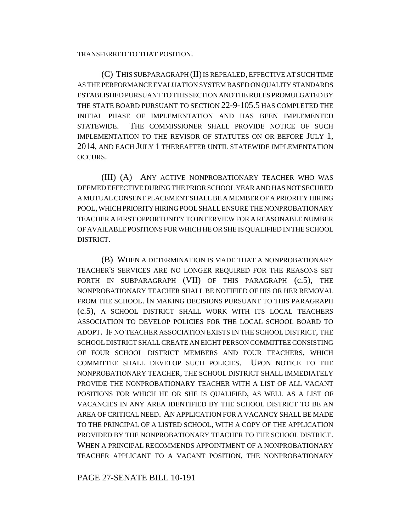TRANSFERRED TO THAT POSITION.

(C) THIS SUBPARAGRAPH (II) IS REPEALED, EFFECTIVE AT SUCH TIME AS THE PERFORMANCE EVALUATION SYSTEM BASED ON QUALITY STANDARDS ESTABLISHED PURSUANT TO THIS SECTION AND THE RULES PROMULGATED BY THE STATE BOARD PURSUANT TO SECTION 22-9-105.5 HAS COMPLETED THE INITIAL PHASE OF IMPLEMENTATION AND HAS BEEN IMPLEMENTED STATEWIDE. THE COMMISSIONER SHALL PROVIDE NOTICE OF SUCH IMPLEMENTATION TO THE REVISOR OF STATUTES ON OR BEFORE JULY 1, 2014, AND EACH JULY 1 THEREAFTER UNTIL STATEWIDE IMPLEMENTATION OCCURS.

(III) (A) ANY ACTIVE NONPROBATIONARY TEACHER WHO WAS DEEMED EFFECTIVE DURING THE PRIOR SCHOOL YEAR AND HAS NOT SECURED A MUTUAL CONSENT PLACEMENT SHALL BE A MEMBER OF A PRIORITY HIRING POOL, WHICH PRIORITY HIRING POOL SHALL ENSURE THE NONPROBATIONARY TEACHER A FIRST OPPORTUNITY TO INTERVIEW FOR A REASONABLE NUMBER OF AVAILABLE POSITIONS FOR WHICH HE OR SHE IS QUALIFIED IN THE SCHOOL DISTRICT.

(B) WHEN A DETERMINATION IS MADE THAT A NONPROBATIONARY TEACHER'S SERVICES ARE NO LONGER REQUIRED FOR THE REASONS SET FORTH IN SUBPARAGRAPH (VII) OF THIS PARAGRAPH (c.5), THE NONPROBATIONARY TEACHER SHALL BE NOTIFIED OF HIS OR HER REMOVAL FROM THE SCHOOL. IN MAKING DECISIONS PURSUANT TO THIS PARAGRAPH (c.5), A SCHOOL DISTRICT SHALL WORK WITH ITS LOCAL TEACHERS ASSOCIATION TO DEVELOP POLICIES FOR THE LOCAL SCHOOL BOARD TO ADOPT. IF NO TEACHER ASSOCIATION EXISTS IN THE SCHOOL DISTRICT, THE SCHOOL DISTRICT SHALL CREATE AN EIGHT PERSON COMMITTEE CONSISTING OF FOUR SCHOOL DISTRICT MEMBERS AND FOUR TEACHERS, WHICH COMMITTEE SHALL DEVELOP SUCH POLICIES. UPON NOTICE TO THE NONPROBATIONARY TEACHER, THE SCHOOL DISTRICT SHALL IMMEDIATELY PROVIDE THE NONPROBATIONARY TEACHER WITH A LIST OF ALL VACANT POSITIONS FOR WHICH HE OR SHE IS QUALIFIED, AS WELL AS A LIST OF VACANCIES IN ANY AREA IDENTIFIED BY THE SCHOOL DISTRICT TO BE AN AREA OF CRITICAL NEED. AN APPLICATION FOR A VACANCY SHALL BE MADE TO THE PRINCIPAL OF A LISTED SCHOOL, WITH A COPY OF THE APPLICATION PROVIDED BY THE NONPROBATIONARY TEACHER TO THE SCHOOL DISTRICT. WHEN A PRINCIPAL RECOMMENDS APPOINTMENT OF A NONPROBATIONARY TEACHER APPLICANT TO A VACANT POSITION, THE NONPROBATIONARY

PAGE 27-SENATE BILL 10-191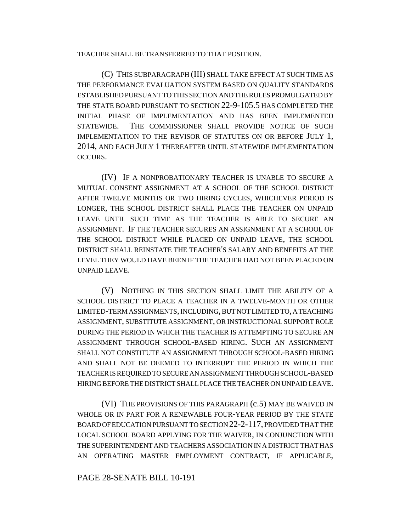TEACHER SHALL BE TRANSFERRED TO THAT POSITION.

(C) THIS SUBPARAGRAPH (III) SHALL TAKE EFFECT AT SUCH TIME AS THE PERFORMANCE EVALUATION SYSTEM BASED ON QUALITY STANDARDS ESTABLISHED PURSUANT TO THIS SECTION AND THE RULES PROMULGATED BY THE STATE BOARD PURSUANT TO SECTION 22-9-105.5 HAS COMPLETED THE INITIAL PHASE OF IMPLEMENTATION AND HAS BEEN IMPLEMENTED STATEWIDE. THE COMMISSIONER SHALL PROVIDE NOTICE OF SUCH IMPLEMENTATION TO THE REVISOR OF STATUTES ON OR BEFORE JULY 1, 2014, AND EACH JULY 1 THEREAFTER UNTIL STATEWIDE IMPLEMENTATION OCCURS.

(IV) IF A NONPROBATIONARY TEACHER IS UNABLE TO SECURE A MUTUAL CONSENT ASSIGNMENT AT A SCHOOL OF THE SCHOOL DISTRICT AFTER TWELVE MONTHS OR TWO HIRING CYCLES, WHICHEVER PERIOD IS LONGER, THE SCHOOL DISTRICT SHALL PLACE THE TEACHER ON UNPAID LEAVE UNTIL SUCH TIME AS THE TEACHER IS ABLE TO SECURE AN ASSIGNMENT. IF THE TEACHER SECURES AN ASSIGNMENT AT A SCHOOL OF THE SCHOOL DISTRICT WHILE PLACED ON UNPAID LEAVE, THE SCHOOL DISTRICT SHALL REINSTATE THE TEACHER'S SALARY AND BENEFITS AT THE LEVEL THEY WOULD HAVE BEEN IF THE TEACHER HAD NOT BEEN PLACED ON UNPAID LEAVE.

(V) NOTHING IN THIS SECTION SHALL LIMIT THE ABILITY OF A SCHOOL DISTRICT TO PLACE A TEACHER IN A TWELVE-MONTH OR OTHER LIMITED-TERM ASSIGNMENTS, INCLUDING, BUT NOT LIMITED TO, A TEACHING ASSIGNMENT, SUBSTITUTE ASSIGNMENT, OR INSTRUCTIONAL SUPPORT ROLE DURING THE PERIOD IN WHICH THE TEACHER IS ATTEMPTING TO SECURE AN ASSIGNMENT THROUGH SCHOOL-BASED HIRING. SUCH AN ASSIGNMENT SHALL NOT CONSTITUTE AN ASSIGNMENT THROUGH SCHOOL-BASED HIRING AND SHALL NOT BE DEEMED TO INTERRUPT THE PERIOD IN WHICH THE TEACHER IS REQUIRED TO SECURE AN ASSIGNMENT THROUGH SCHOOL-BASED HIRING BEFORE THE DISTRICT SHALL PLACE THE TEACHER ON UNPAID LEAVE.

(VI) THE PROVISIONS OF THIS PARAGRAPH (c.5) MAY BE WAIVED IN WHOLE OR IN PART FOR A RENEWABLE FOUR-YEAR PERIOD BY THE STATE BOARD OF EDUCATION PURSUANT TO SECTION 22-2-117, PROVIDED THAT THE LOCAL SCHOOL BOARD APPLYING FOR THE WAIVER, IN CONJUNCTION WITH THE SUPERINTENDENT AND TEACHERS ASSOCIATION IN A DISTRICT THAT HAS AN OPERATING MASTER EMPLOYMENT CONTRACT, IF APPLICABLE,

### PAGE 28-SENATE BILL 10-191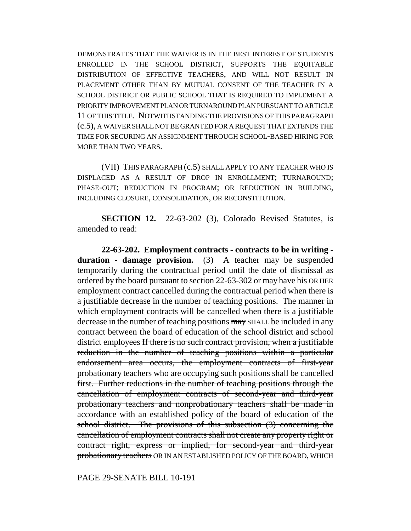DEMONSTRATES THAT THE WAIVER IS IN THE BEST INTEREST OF STUDENTS ENROLLED IN THE SCHOOL DISTRICT, SUPPORTS THE EQUITABLE DISTRIBUTION OF EFFECTIVE TEACHERS, AND WILL NOT RESULT IN PLACEMENT OTHER THAN BY MUTUAL CONSENT OF THE TEACHER IN A SCHOOL DISTRICT OR PUBLIC SCHOOL THAT IS REQUIRED TO IMPLEMENT A PRIORITY IMPROVEMENT PLAN OR TURNAROUND PLAN PURSUANT TO ARTICLE 11 OF THIS TITLE. NOTWITHSTANDING THE PROVISIONS OF THIS PARAGRAPH (c.5), A WAIVER SHALL NOT BE GRANTED FOR A REQUEST THAT EXTENDS THE TIME FOR SECURING AN ASSIGNMENT THROUGH SCHOOL-BASED HIRING FOR MORE THAN TWO YEARS.

(VII) THIS PARAGRAPH (c.5) SHALL APPLY TO ANY TEACHER WHO IS DISPLACED AS A RESULT OF DROP IN ENROLLMENT; TURNAROUND; PHASE-OUT; REDUCTION IN PROGRAM; OR REDUCTION IN BUILDING, INCLUDING CLOSURE, CONSOLIDATION, OR RECONSTITUTION.

**SECTION 12.** 22-63-202 (3), Colorado Revised Statutes, is amended to read:

**22-63-202. Employment contracts - contracts to be in writing duration - damage provision.** (3) A teacher may be suspended temporarily during the contractual period until the date of dismissal as ordered by the board pursuant to section 22-63-302 or may have his OR HER employment contract cancelled during the contractual period when there is a justifiable decrease in the number of teaching positions. The manner in which employment contracts will be cancelled when there is a justifiable decrease in the number of teaching positions may SHALL be included in any contract between the board of education of the school district and school district employees If there is no such contract provision, when a justifiable reduction in the number of teaching positions within a particular endorsement area occurs, the employment contracts of first-year probationary teachers who are occupying such positions shall be cancelled first. Further reductions in the number of teaching positions through the cancellation of employment contracts of second-year and third-year probationary teachers and nonprobationary teachers shall be made in accordance with an established policy of the board of education of the school district. The provisions of this subsection (3) concerning the cancellation of employment contracts shall not create any property right or contract right, express or implied, for second-year and third-year probationary teachers OR IN AN ESTABLISHED POLICY OF THE BOARD, WHICH

PAGE 29-SENATE BILL 10-191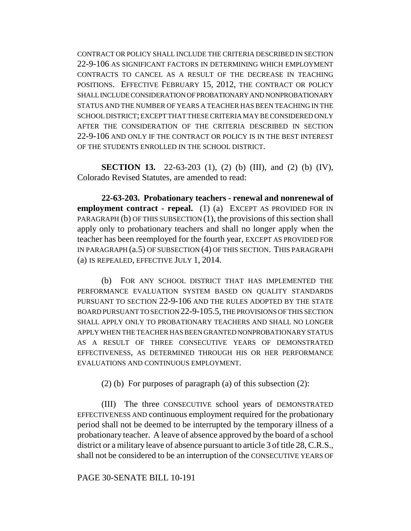CONTRACT OR POLICY SHALL INCLUDE THE CRITERIA DESCRIBED IN SECTION 22-9-106 AS SIGNIFICANT FACTORS IN DETERMINING WHICH EMPLOYMENT CONTRACTS TO CANCEL AS A RESULT OF THE DECREASE IN TEACHING POSITIONS. EFFECTIVE FEBRUARY 15, 2012, THE CONTRACT OR POLICY SHALL INCLUDE CONSIDERATION OF PROBATIONARY AND NONPROBATIONARY STATUS AND THE NUMBER OF YEARS A TEACHER HAS BEEN TEACHING IN THE SCHOOL DISTRICT; EXCEPT THAT THESE CRITERIA MAY BE CONSIDERED ONLY AFTER THE CONSIDERATION OF THE CRITERIA DESCRIBED IN SECTION 22-9-106 AND ONLY IF THE CONTRACT OR POLICY IS IN THE BEST INTEREST OF THE STUDENTS ENROLLED IN THE SCHOOL DISTRICT.

**SECTION 13.** 22-63-203 (1), (2) (b) (III), and (2) (b) (IV), Colorado Revised Statutes, are amended to read:

**22-63-203. Probationary teachers - renewal and nonrenewal of employment contract - repeal.** (1) (a) EXCEPT AS PROVIDED FOR IN PARAGRAPH (b) OF THIS SUBSECTION  $(1)$ , the provisions of this section shall apply only to probationary teachers and shall no longer apply when the teacher has been reemployed for the fourth year, EXCEPT AS PROVIDED FOR IN PARAGRAPH (a.5) OF SUBSECTION (4) OF THIS SECTION. THIS PARAGRAPH (a) IS REPEALED, EFFECTIVE JULY 1, 2014.

(b) FOR ANY SCHOOL DISTRICT THAT HAS IMPLEMENTED THE PERFORMANCE EVALUATION SYSTEM BASED ON QUALITY STANDARDS PURSUANT TO SECTION 22-9-106 AND THE RULES ADOPTED BY THE STATE BOARD PURSUANT TO SECTION 22-9-105.5, THE PROVISIONS OF THIS SECTION SHALL APPLY ONLY TO PROBATIONARY TEACHERS AND SHALL NO LONGER APPLY WHEN THE TEACHER HAS BEEN GRANTED NONPROBATIONARY STATUS AS A RESULT OF THREE CONSECUTIVE YEARS OF DEMONSTRATED EFFECTIVENESS, AS DETERMINED THROUGH HIS OR HER PERFORMANCE EVALUATIONS AND CONTINUOUS EMPLOYMENT.

(2) (b) For purposes of paragraph (a) of this subsection (2):

(III) The three CONSECUTIVE school years of DEMONSTRATED EFFECTIVENESS AND continuous employment required for the probationary period shall not be deemed to be interrupted by the temporary illness of a probationary teacher. A leave of absence approved by the board of a school district or a military leave of absence pursuant to article 3 of title 28, C.R.S., shall not be considered to be an interruption of the CONSECUTIVE YEARS OF

PAGE 30-SENATE BILL 10-191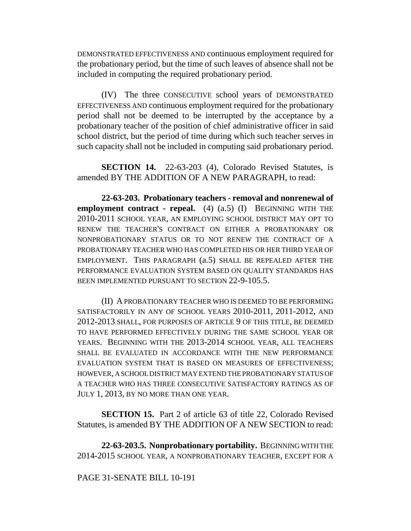DEMONSTRATED EFFECTIVENESS AND continuous employment required for the probationary period, but the time of such leaves of absence shall not be included in computing the required probationary period.

(IV) The three CONSECUTIVE school years of DEMONSTRATED EFFECTIVENESS AND continuous employment required for the probationary period shall not be deemed to be interrupted by the acceptance by a probationary teacher of the position of chief administrative officer in said school district, but the period of time during which such teacher serves in such capacity shall not be included in computing said probationary period.

**SECTION 14.** 22-63-203 (4), Colorado Revised Statutes, is amended BY THE ADDITION OF A NEW PARAGRAPH, to read:

**22-63-203. Probationary teachers - removal and nonrenewal of employment contract - repeal.** (4) (a.5) (I) BEGINNING WITH THE 2010-2011 SCHOOL YEAR, AN EMPLOYING SCHOOL DISTRICT MAY OPT TO RENEW THE TEACHER'S CONTRACT ON EITHER A PROBATIONARY OR NONPROBATIONARY STATUS OR TO NOT RENEW THE CONTRACT OF A PROBATIONARY TEACHER WHO HAS COMPLETED HIS OR HER THIRD YEAR OF EMPLOYMENT. THIS PARAGRAPH (a.5) SHALL BE REPEALED AFTER THE PERFORMANCE EVALUATION SYSTEM BASED ON QUALITY STANDARDS HAS BEEN IMPLEMENTED PURSUANT TO SECTION 22-9-105.5.

(II) A PROBATIONARY TEACHER WHO IS DEEMED TO BE PERFORMING SATISFACTORILY IN ANY OF SCHOOL YEARS 2010-2011, 2011-2012, AND 2012-2013 SHALL, FOR PURPOSES OF ARTICLE 9 OF THIS TITLE, BE DEEMED TO HAVE PERFORMED EFFECTIVELY DURING THE SAME SCHOOL YEAR OR YEARS. BEGINNING WITH THE 2013-2014 SCHOOL YEAR, ALL TEACHERS SHALL BE EVALUATED IN ACCORDANCE WITH THE NEW PERFORMANCE EVALUATION SYSTEM THAT IS BASED ON MEASURES OF EFFECTIVENESS; HOWEVER, A SCHOOL DISTRICT MAY EXTEND THE PROBATIONARY STATUS OF A TEACHER WHO HAS THREE CONSECUTIVE SATISFACTORY RATINGS AS OF JULY 1, 2013, BY NO MORE THAN ONE YEAR.

**SECTION 15.** Part 2 of article 63 of title 22, Colorado Revised Statutes, is amended BY THE ADDITION OF A NEW SECTION to read:

**22-63-203.5. Nonprobationary portability.** BEGINNING WITH THE 2014-2015 SCHOOL YEAR, A NONPROBATIONARY TEACHER, EXCEPT FOR A

# PAGE 31-SENATE BILL 10-191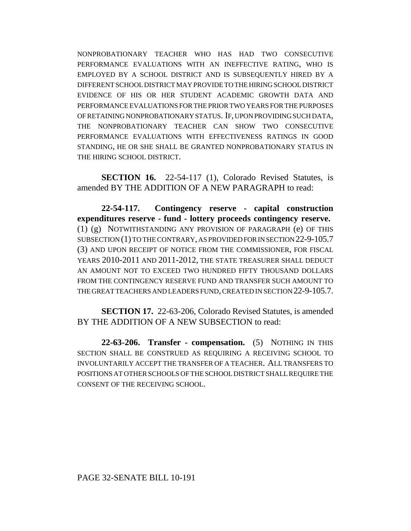NONPROBATIONARY TEACHER WHO HAS HAD TWO CONSECUTIVE PERFORMANCE EVALUATIONS WITH AN INEFFECTIVE RATING, WHO IS EMPLOYED BY A SCHOOL DISTRICT AND IS SUBSEQUENTLY HIRED BY A DIFFERENT SCHOOL DISTRICT MAY PROVIDE TO THE HIRING SCHOOL DISTRICT EVIDENCE OF HIS OR HER STUDENT ACADEMIC GROWTH DATA AND PERFORMANCE EVALUATIONS FOR THE PRIOR TWO YEARS FOR THE PURPOSES OF RETAINING NONPROBATIONARY STATUS. IF, UPON PROVIDING SUCH DATA, THE NONPROBATIONARY TEACHER CAN SHOW TWO CONSECUTIVE PERFORMANCE EVALUATIONS WITH EFFECTIVENESS RATINGS IN GOOD STANDING, HE OR SHE SHALL BE GRANTED NONPROBATIONARY STATUS IN THE HIRING SCHOOL DISTRICT.

**SECTION 16.** 22-54-117 (1), Colorado Revised Statutes, is amended BY THE ADDITION OF A NEW PARAGRAPH to read:

**22-54-117. Contingency reserve - capital construction expenditures reserve - fund - lottery proceeds contingency reserve.** (1) (g) NOTWITHSTANDING ANY PROVISION OF PARAGRAPH (e) OF THIS SUBSECTION (1) TO THE CONTRARY, AS PROVIDED FOR IN SECTION 22-9-105.7 (3) AND UPON RECEIPT OF NOTICE FROM THE COMMISSIONER, FOR FISCAL YEARS 2010-2011 AND 2011-2012, THE STATE TREASURER SHALL DEDUCT AN AMOUNT NOT TO EXCEED TWO HUNDRED FIFTY THOUSAND DOLLARS FROM THE CONTINGENCY RESERVE FUND AND TRANSFER SUCH AMOUNT TO THE GREAT TEACHERS AND LEADERS FUND, CREATED IN SECTION 22-9-105.7.

**SECTION 17.** 22-63-206, Colorado Revised Statutes, is amended BY THE ADDITION OF A NEW SUBSECTION to read:

**22-63-206. Transfer - compensation.** (5) NOTHING IN THIS SECTION SHALL BE CONSTRUED AS REQUIRING A RECEIVING SCHOOL TO INVOLUNTARILY ACCEPT THE TRANSFER OF A TEACHER. ALL TRANSFERS TO POSITIONS AT OTHER SCHOOLS OF THE SCHOOL DISTRICT SHALL REQUIRE THE CONSENT OF THE RECEIVING SCHOOL.